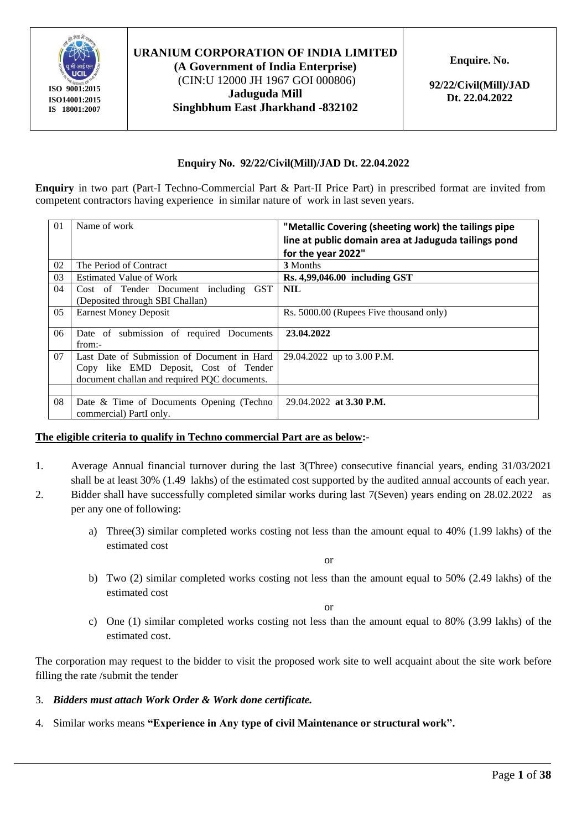

**(A Government of India Enterprise)** (CIN:U 12000 JH 1967 GOI 000806) **Jaduguda Mill Singhbhum East Jharkhand -832102** **Enquire. No.** 

**92/22/Civil(Mill)/JAD Dt. 22.04.2022**

#### **Enquiry No. 92/22/Civil(Mill)/JAD Dt. 22.04.2022**

**Enquiry** in two part (Part-I Techno-Commercial Part & Part-II Price Part) in prescribed format are invited from competent contractors having experience in similar nature of work in last seven years.

| 01 | Name of work                                       | "Metallic Covering (sheeting work) the tailings pipe<br>line at public domain area at Jaduguda tailings pond |
|----|----------------------------------------------------|--------------------------------------------------------------------------------------------------------------|
|    |                                                    | for the year 2022"                                                                                           |
| 02 | The Period of Contract                             | 3 Months                                                                                                     |
| 03 | <b>Estimated Value of Work</b>                     | $Rs. 4,99,046.00$ including GST                                                                              |
| 04 | Cost of Tender Document including GST              | <b>NIL</b>                                                                                                   |
|    | (Deposited through SBI Challan)                    |                                                                                                              |
| 05 | <b>Earnest Money Deposit</b>                       | Rs. 5000.00 (Rupees Five thousand only)                                                                      |
| 06 | Date of submission of required Documents<br>from:- | 23.04.2022                                                                                                   |
| 07 | Last Date of Submission of Document in Hard        | 29.04.2022 up to 3.00 P.M.                                                                                   |
|    | Copy like EMD Deposit, Cost of Tender              |                                                                                                              |
|    | document challan and required PQC documents.       |                                                                                                              |
|    |                                                    |                                                                                                              |
| 08 | Date & Time of Documents Opening (Techno           | 29.04.2022 at 3.30 P.M.                                                                                      |
|    | commercial) PartI only.                            |                                                                                                              |

#### **The eligible criteria to qualify in Techno commercial Part are as below:-**

- 1. Average Annual financial turnover during the last 3(Three) consecutive financial years, ending 31/03/2021 shall be at least 30% (1.49 lakhs) of the estimated cost supported by the audited annual accounts of each year.
- 2. Bidder shall have successfully completed similar works during last 7(Seven) years ending on 28.02.2022 as per any one of following:
	- a) Three(3) similar completed works costing not less than the amount equal to 40% (1.99 lakhs) of the estimated cost

or

b) Two (2) similar completed works costing not less than the amount equal to 50% (2.49 lakhs) of the estimated cost

or

c) One (1) similar completed works costing not less than the amount equal to 80% (3.99 lakhs) of the estimated cost.

The corporation may request to the bidder to visit the proposed work site to well acquaint about the site work before filling the rate /submit the tender

- 3. *Bidders must attach Work Order & Work done certificate.*
- 4. Similar works means **"Experience in Any type of civil Maintenance or structural work".**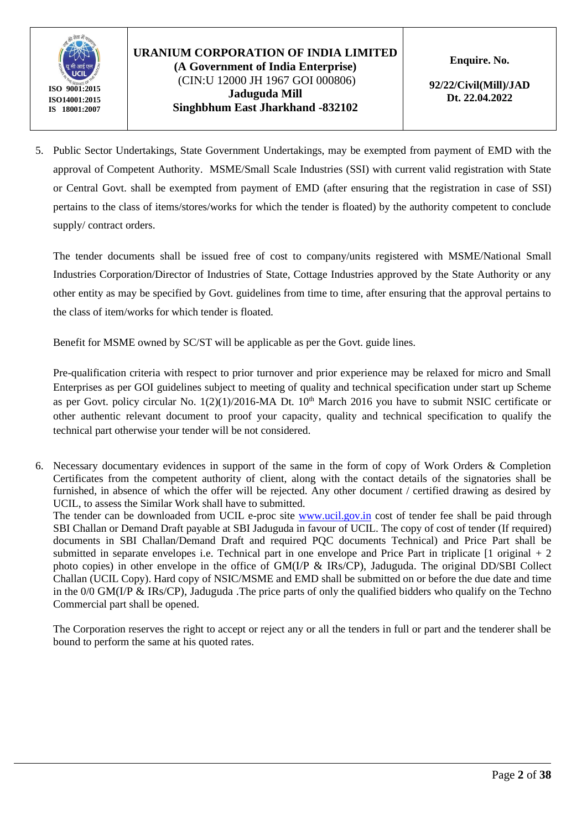

#### **URANIUM CORPORATION OF INDIA LIMITED (A Government of India Enterprise)** (CIN:U 12000 JH 1967 GOI 000806) **Jaduguda Mill Singhbhum East Jharkhand -832102**

**Enquire. No.** 

**92/22/Civil(Mill)/JAD Dt. 22.04.2022**

5. Public Sector Undertakings, State Government Undertakings, may be exempted from payment of EMD with the approval of Competent Authority. MSME/Small Scale Industries (SSI) with current valid registration with State or Central Govt. shall be exempted from payment of EMD (after ensuring that the registration in case of SSI) pertains to the class of items/stores/works for which the tender is floated) by the authority competent to conclude supply/ contract orders.

The tender documents shall be issued free of cost to company/units registered with MSME/National Small Industries Corporation/Director of Industries of State, Cottage Industries approved by the State Authority or any other entity as may be specified by Govt. guidelines from time to time, after ensuring that the approval pertains to the class of item/works for which tender is floated.

Benefit for MSME owned by SC/ST will be applicable as per the Govt. guide lines.

Pre-qualification criteria with respect to prior turnover and prior experience may be relaxed for micro and Small Enterprises as per GOI guidelines subject to meeting of quality and technical specification under start up Scheme as per Govt. policy circular No. 1(2)(1)/2016-MA Dt. 10<sup>th</sup> March 2016 you have to submit NSIC certificate or other authentic relevant document to proof your capacity, quality and technical specification to qualify the technical part otherwise your tender will be not considered.

6. Necessary documentary evidences in support of the same in the form of copy of Work Orders & Completion Certificates from the competent authority of client, along with the contact details of the signatories shall be furnished, in absence of which the offer will be rejected. Any other document / certified drawing as desired by UCIL, to assess the Similar Work shall have to submitted.

The tender can be downloaded from UCIL e-proc site [www.ucil.gov.in](http://www.ucil.gov.in/) cost of tender fee shall be paid through SBI Challan or Demand Draft payable at SBI Jaduguda in favour of UCIL. The copy of cost of tender (If required) documents in SBI Challan/Demand Draft and required PQC documents Technical) and Price Part shall be submitted in separate envelopes i.e. Technical part in one envelope and Price Part in triplicate [1 original + 2 photo copies) in other envelope in the office of GM(I/P & IRs/CP), Jaduguda. The original DD/SBI Collect Challan (UCIL Copy). Hard copy of NSIC/MSME and EMD shall be submitted on or before the due date and time in the  $0/0$  GM(I/P & IRs/CP), Jaduguda . The price parts of only the qualified bidders who qualify on the Techno Commercial part shall be opened.

The Corporation reserves the right to accept or reject any or all the tenders in full or part and the tenderer shall be bound to perform the same at his quoted rates.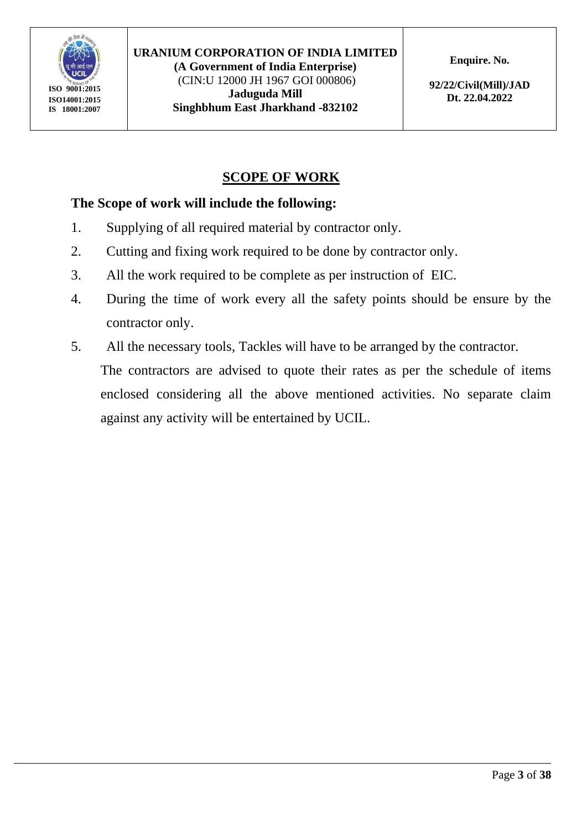

(CIN:U 12000 JH 1967 GOI 000806) **Jaduguda Mill Singhbhum East Jharkhand -832102** **Enquire. No.** 

**92/22/Civil(Mill)/JAD Dt. 22.04.2022**

# **SCOPE OF WORK**

## **The Scope of work will include the following:**

- 1. Supplying of all required material by contractor only.
- 2. Cutting and fixing work required to be done by contractor only.
- 3. All the work required to be complete as per instruction of EIC.
- 4. During the time of work every all the safety points should be ensure by the contractor only.
- 5. All the necessary tools, Tackles will have to be arranged by the contractor.

The contractors are advised to quote their rates as per the schedule of items enclosed considering all the above mentioned activities. No separate claim against any activity will be entertained by UCIL.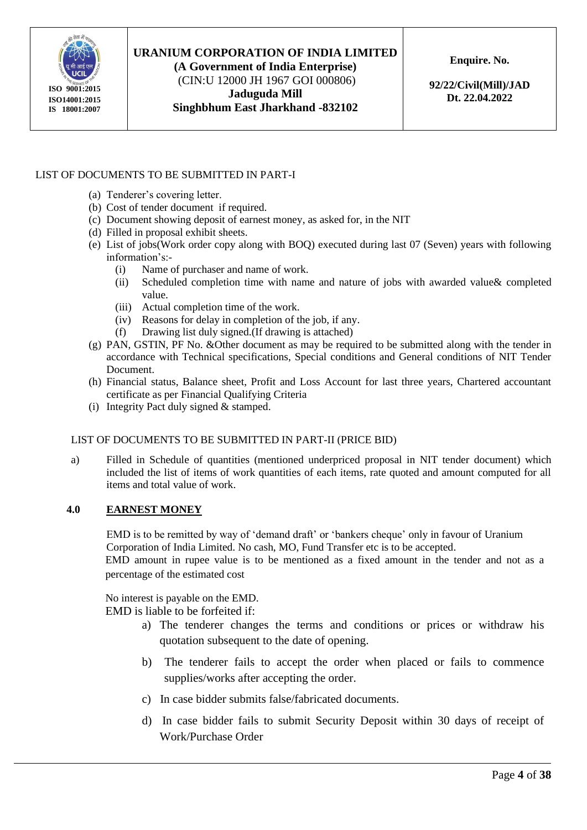

**(A Government of India Enterprise)** (CIN:U 12000 JH 1967 GOI 000806) **Jaduguda Mill Singhbhum East Jharkhand -832102** **Enquire. No.** 

**92/22/Civil(Mill)/JAD Dt. 22.04.2022**

#### LIST OF DOCUMENTS TO BE SUBMITTED IN PART-I

- (a) Tenderer's covering letter.
- (b) Cost of tender document if required.
- (c) Document showing deposit of earnest money, as asked for, in the NIT
- (d) Filled in proposal exhibit sheets.
- (e) List of jobs(Work order copy along with BOQ) executed during last 07 (Seven) years with following information's:-
	- (i) Name of purchaser and name of work.
	- (ii) Scheduled completion time with name and nature of jobs with awarded value& completed value.
	- (iii) Actual completion time of the work.
	- (iv) Reasons for delay in completion of the job, if any.
	- (f) Drawing list duly signed.(If drawing is attached)
- (g) PAN, GSTIN, PF No. &Other document as may be required to be submitted along with the tender in accordance with Technical specifications, Special conditions and General conditions of NIT Tender Document.
- (h) Financial status, Balance sheet, Profit and Loss Account for last three years, Chartered accountant certificate as per Financial Qualifying Criteria
- (i) Integrity Pact duly signed & stamped.

#### LIST OF DOCUMENTS TO BE SUBMITTED IN PART-II (PRICE BID)

a) Filled in Schedule of quantities (mentioned underpriced proposal in NIT tender document) which included the list of items of work quantities of each items, rate quoted and amount computed for all items and total value of work.

#### **4.0 EARNEST MONEY**

EMD is to be remitted by way of 'demand draft' or 'bankers cheque' only in favour of Uranium Corporation of India Limited. No cash, MO, Fund Transfer etc is to be accepted. EMD amount in rupee value is to be mentioned as a fixed amount in the tender and not as a percentage of the estimated cost

No interest is payable on the EMD.

EMD is liable to be forfeited if:

- a) The tenderer changes the terms and conditions or prices or withdraw his quotation subsequent to the date of opening.
- b) The tenderer fails to accept the order when placed or fails to commence supplies/works after accepting the order.
- c) In case bidder submits false/fabricated documents.
- d) In case bidder fails to submit Security Deposit within 30 days of receipt of Work/Purchase Order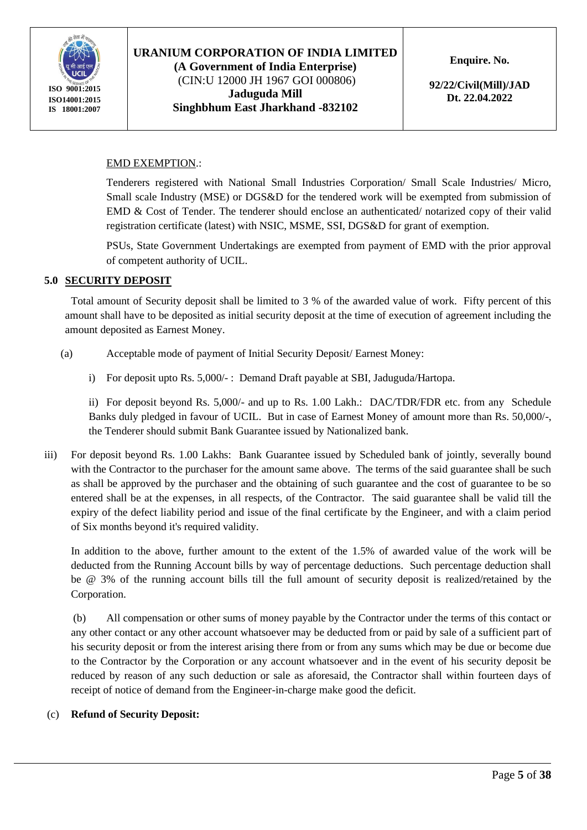

(CIN:U 12000 JH 1967 GOI 000806) **Jaduguda Mill Singhbhum East Jharkhand -832102** **Enquire. No.** 

**92/22/Civil(Mill)/JAD Dt. 22.04.2022**

#### EMD EXEMPTION.:

Tenderers registered with National Small Industries Corporation/ Small Scale Industries/ Micro, Small scale Industry (MSE) or DGS&D for the tendered work will be exempted from submission of EMD & Cost of Tender. The tenderer should enclose an authenticated/ notarized copy of their valid registration certificate (latest) with NSIC, MSME, SSI, DGS&D for grant of exemption.

PSUs, State Government Undertakings are exempted from payment of EMD with the prior approval of competent authority of UCIL.

#### **5.0 SECURITY DEPOSIT**

Total amount of Security deposit shall be limited to 3 % of the awarded value of work. Fifty percent of this amount shall have to be deposited as initial security deposit at the time of execution of agreement including the amount deposited as Earnest Money.

- (a) Acceptable mode of payment of Initial Security Deposit/ Earnest Money:
	- i) For deposit upto Rs. 5,000/- : Demand Draft payable at SBI, Jaduguda/Hartopa.

ii) For deposit beyond Rs. 5,000/- and up to Rs. 1.00 Lakh.: DAC/TDR/FDR etc. from any Schedule Banks duly pledged in favour of UCIL. But in case of Earnest Money of amount more than Rs. 50,000/-, the Tenderer should submit Bank Guarantee issued by Nationalized bank.

iii) For deposit beyond Rs. 1.00 Lakhs: Bank Guarantee issued by Scheduled bank of jointly, severally bound with the Contractor to the purchaser for the amount same above. The terms of the said guarantee shall be such as shall be approved by the purchaser and the obtaining of such guarantee and the cost of guarantee to be so entered shall be at the expenses, in all respects, of the Contractor. The said guarantee shall be valid till the expiry of the defect liability period and issue of the final certificate by the Engineer, and with a claim period of Six months beyond it's required validity.

In addition to the above, further amount to the extent of the 1.5% of awarded value of the work will be deducted from the Running Account bills by way of percentage deductions. Such percentage deduction shall be @ 3% of the running account bills till the full amount of security deposit is realized/retained by the Corporation.

(b) All compensation or other sums of money payable by the Contractor under the terms of this contact or any other contact or any other account whatsoever may be deducted from or paid by sale of a sufficient part of his security deposit or from the interest arising there from or from any sums which may be due or become due to the Contractor by the Corporation or any account whatsoever and in the event of his security deposit be reduced by reason of any such deduction or sale as aforesaid, the Contractor shall within fourteen days of receipt of notice of demand from the Engineer-in-charge make good the deficit.

#### (c) **Refund of Security Deposit:**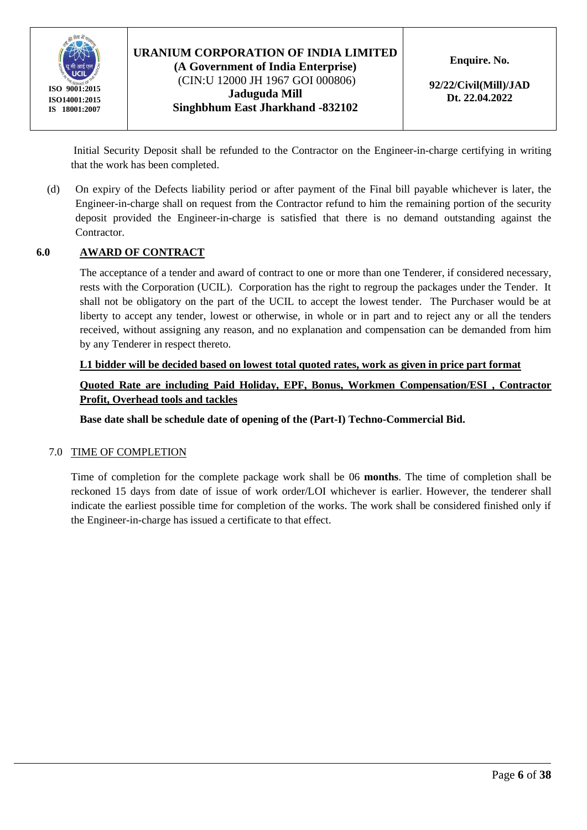

#### **URANIUM CORPORATION OF INDIA LIMITED (A Government of India Enterprise)** (CIN:U 12000 JH 1967 GOI 000806) **Jaduguda Mill**

**Singhbhum East Jharkhand -832102**

**Enquire. No.** 

**92/22/Civil(Mill)/JAD Dt. 22.04.2022**

Initial Security Deposit shall be refunded to the Contractor on the Engineer-in-charge certifying in writing that the work has been completed.

(d) On expiry of the Defects liability period or after payment of the Final bill payable whichever is later, the Engineer-in-charge shall on request from the Contractor refund to him the remaining portion of the security deposit provided the Engineer-in-charge is satisfied that there is no demand outstanding against the Contractor.

#### **6.0 AWARD OF CONTRACT**

The acceptance of a tender and award of contract to one or more than one Tenderer, if considered necessary, rests with the Corporation (UCIL). Corporation has the right to regroup the packages under the Tender. It shall not be obligatory on the part of the UCIL to accept the lowest tender. The Purchaser would be at liberty to accept any tender, lowest or otherwise, in whole or in part and to reject any or all the tenders received, without assigning any reason, and no explanation and compensation can be demanded from him by any Tenderer in respect thereto.

#### **L1 bidder will be decided based on lowest total quoted rates, work as given in price part format**

**Quoted Rate are including Paid Holiday, EPF, Bonus, Workmen Compensation/ESI , Contractor Profit, Overhead tools and tackles** 

**Base date shall be schedule date of opening of the (Part-I) Techno-Commercial Bid.**

#### 7.0 TIME OF COMPLETION

Time of completion for the complete package work shall be 06 **months**. The time of completion shall be reckoned 15 days from date of issue of work order/LOI whichever is earlier. However, the tenderer shall indicate the earliest possible time for completion of the works. The work shall be considered finished only if the Engineer-in-charge has issued a certificate to that effect.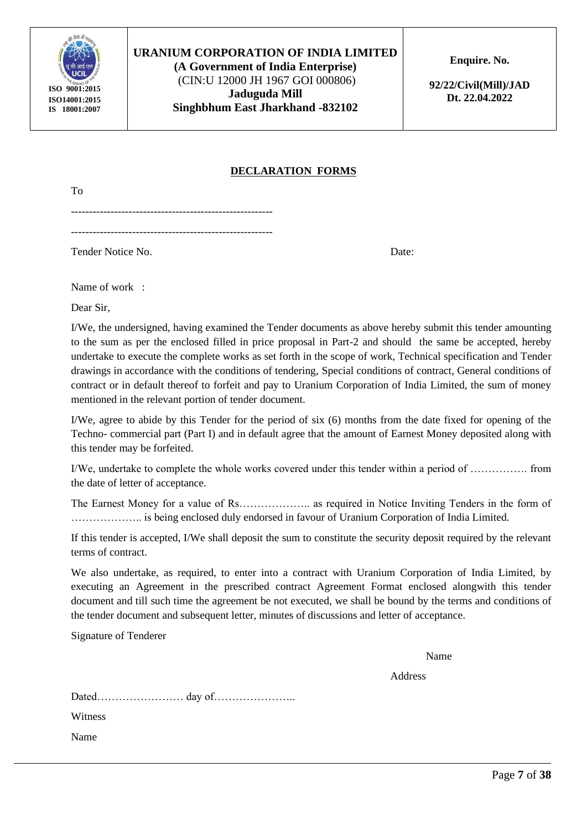

**(A Government of India Enterprise)** (CIN:U 12000 JH 1967 GOI 000806) **Jaduguda Mill Singhbhum East Jharkhand -832102** **Enquire. No.** 

**92/22/Civil(Mill)/JAD Dt. 22.04.2022**

#### **DECLARATION FORMS**

To

Tender Notice No. Date:

Name of work :

Dear Sir,

I/We, the undersigned, having examined the Tender documents as above hereby submit this tender amounting to the sum as per the enclosed filled in price proposal in Part-2 and should the same be accepted, hereby undertake to execute the complete works as set forth in the scope of work, Technical specification and Tender drawings in accordance with the conditions of tendering, Special conditions of contract, General conditions of contract or in default thereof to forfeit and pay to Uranium Corporation of India Limited, the sum of money mentioned in the relevant portion of tender document.

I/We, agree to abide by this Tender for the period of six (6) months from the date fixed for opening of the Techno- commercial part (Part I) and in default agree that the amount of Earnest Money deposited along with this tender may be forfeited.

I/We, undertake to complete the whole works covered under this tender within a period of ……………. from the date of letter of acceptance.

The Earnest Money for a value of Rs……………….. as required in Notice Inviting Tenders in the form of ……………….. is being enclosed duly endorsed in favour of Uranium Corporation of India Limited.

If this tender is accepted, I/We shall deposit the sum to constitute the security deposit required by the relevant terms of contract.

We also undertake, as required, to enter into a contract with Uranium Corporation of India Limited, by executing an Agreement in the prescribed contract Agreement Format enclosed alongwith this tender document and till such time the agreement be not executed, we shall be bound by the terms and conditions of the tender document and subsequent letter, minutes of discussions and letter of acceptance.

Signature of Tenderer

Name

Address

Dated…………………… day of…………………..

Witness

Name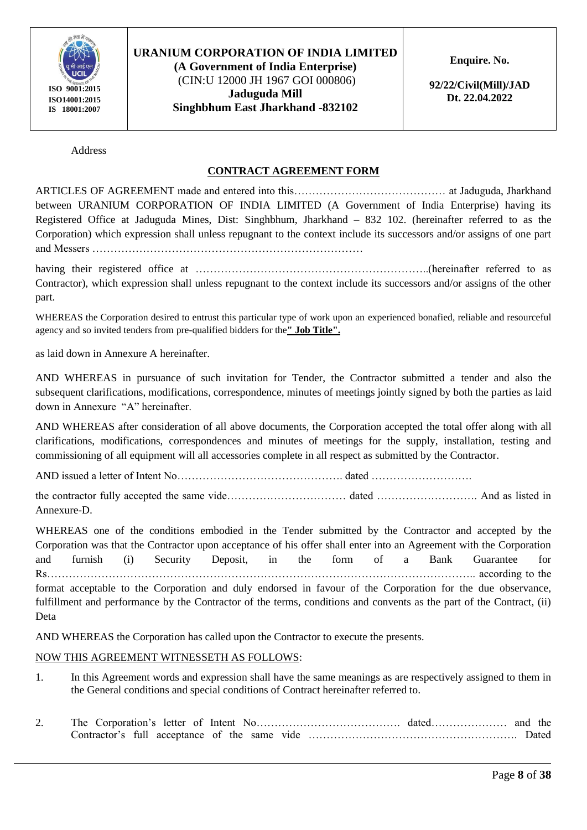

(CIN:U 12000 JH 1967 GOI 000806) **Jaduguda Mill Singhbhum East Jharkhand -832102** **Enquire. No.** 

**92/22/Civil(Mill)/JAD Dt. 22.04.2022**

Address

#### **CONTRACT AGREEMENT FORM**

ARTICLES OF AGREEMENT made and entered into this…………………………………… at Jaduguda, Jharkhand between URANIUM CORPORATION OF INDIA LIMITED (A Government of India Enterprise) having its Registered Office at Jaduguda Mines, Dist: Singhbhum, Jharkhand – 832 102. (hereinafter referred to as the Corporation) which expression shall unless repugnant to the context include its successors and/or assigns of one part and Messers …………………………………………………………………

having their registered office at ………………………………………………………..(hereinafter referred to as Contractor), which expression shall unless repugnant to the context include its successors and/or assigns of the other part.

WHEREAS the Corporation desired to entrust this particular type of work upon an experienced bonafied, reliable and resourceful agency and so invited tenders from pre-qualified bidders for the**" Job Title".**

as laid down in Annexure A hereinafter.

AND WHEREAS in pursuance of such invitation for Tender, the Contractor submitted a tender and also the subsequent clarifications, modifications, correspondence, minutes of meetings jointly signed by both the parties as laid down in Annexure "A" hereinafter.

AND WHEREAS after consideration of all above documents, the Corporation accepted the total offer along with all clarifications, modifications, correspondences and minutes of meetings for the supply, installation, testing and commissioning of all equipment will all accessories complete in all respect as submitted by the Contractor.

AND issued a letter of Intent No………………………………………. dated ……………………….

the contractor fully accepted the same vide…………………………… dated ………………………. And as listed in Annexure-D.

WHEREAS one of the conditions embodied in the Tender submitted by the Contractor and accepted by the Corporation was that the Contractor upon acceptance of his offer shall enter into an Agreement with the Corporation and furnish (i) Security Deposit, in the form of a Bank Guarantee for Rs……………………………………………………………………………………………………….. according to the

format acceptable to the Corporation and duly endorsed in favour of the Corporation for the due observance, fulfillment and performance by the Contractor of the terms, conditions and convents as the part of the Contract, (ii) Deta

AND WHEREAS the Corporation has called upon the Contractor to execute the presents.

#### NOW THIS AGREEMENT WITNESSETH AS FOLLOWS:

- 1. In this Agreement words and expression shall have the same meanings as are respectively assigned to them in the General conditions and special conditions of Contract hereinafter referred to.
- 2. The Corporation's letter of Intent No…………………………………. dated………………… and the Contractor's full acceptance of the same vide …………………………………………………. Dated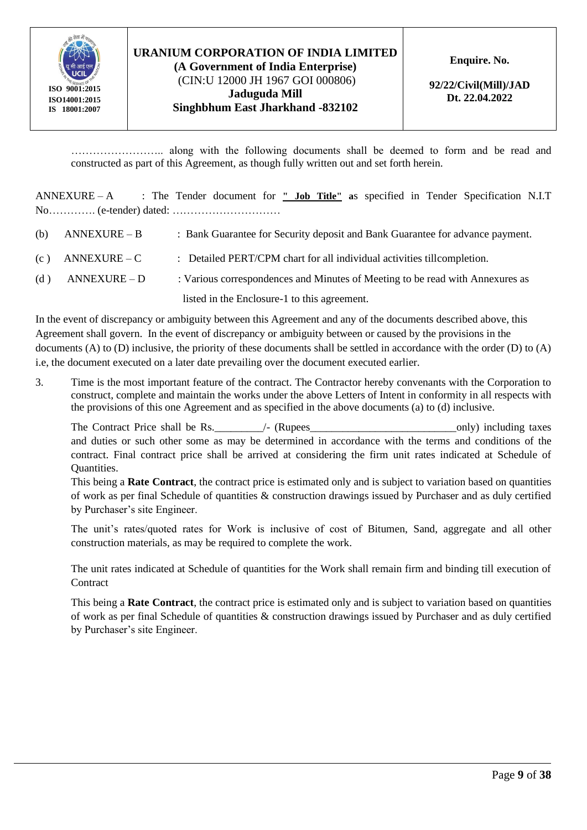

(CIN:U 12000 JH 1967 GOI 000806) **Jaduguda Mill Singhbhum East Jharkhand -832102** **Enquire. No.** 

**92/22/Civil(Mill)/JAD Dt. 22.04.2022**

…………………….. along with the following documents shall be deemed to form and be read and constructed as part of this Agreement, as though fully written out and set forth herein.

ANNEXURE – A : The Tender document for **" Job Title" a**s specified in Tender Specification N.I.T No…………. (e-tender) dated: …………………………

- (b) ANNEXURE B : Bank Guarantee for Security deposit and Bank Guarantee for advance payment.
- (c)  $\triangle$  ANNEXURE C : Detailed PERT/CPM chart for all individual activities tillcompletion.
- (d) ANNEXURE D : Various correspondences and Minutes of Meeting to be read with Annexures as

listed in the Enclosure-1 to this agreement.

In the event of discrepancy or ambiguity between this Agreement and any of the documents described above, this Agreement shall govern. In the event of discrepancy or ambiguity between or caused by the provisions in the documents (A) to (D) inclusive, the priority of these documents shall be settled in accordance with the order (D) to (A) i.e, the document executed on a later date prevailing over the document executed earlier.

3. Time is the most important feature of the contract. The Contractor hereby convenants with the Corporation to construct, complete and maintain the works under the above Letters of Intent in conformity in all respects with the provisions of this one Agreement and as specified in the above documents (a) to (d) inclusive.

The Contract Price shall be Rs. The Contract Price shall be Rs. The Contract Price shall be Rs. and duties or such other some as may be determined in accordance with the terms and conditions of the contract. Final contract price shall be arrived at considering the firm unit rates indicated at Schedule of Quantities.

This being a **Rate Contract**, the contract price is estimated only and is subject to variation based on quantities of work as per final Schedule of quantities & construction drawings issued by Purchaser and as duly certified by Purchaser's site Engineer.

The unit's rates/quoted rates for Work is inclusive of cost of Bitumen, Sand, aggregate and all other construction materials, as may be required to complete the work.

The unit rates indicated at Schedule of quantities for the Work shall remain firm and binding till execution of **Contract** 

This being a **Rate Contract**, the contract price is estimated only and is subject to variation based on quantities of work as per final Schedule of quantities & construction drawings issued by Purchaser and as duly certified by Purchaser's site Engineer.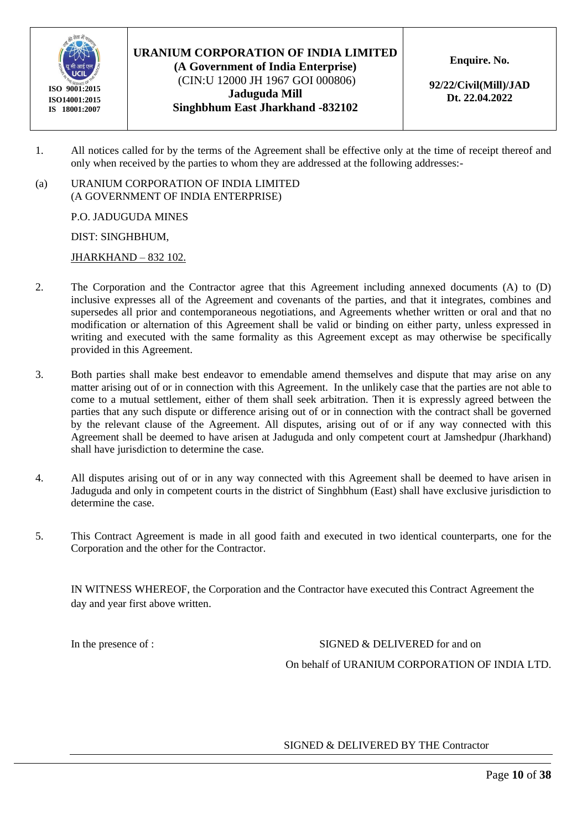

**(A Government of India Enterprise)** (CIN:U 12000 JH 1967 GOI 000806) **Jaduguda Mill Singhbhum East Jharkhand -832102** **Enquire. No.** 

**92/22/Civil(Mill)/JAD Dt. 22.04.2022**

- 1. All notices called for by the terms of the Agreement shall be effective only at the time of receipt thereof and only when received by the parties to whom they are addressed at the following addresses:-
- (a) URANIUM CORPORATION OF INDIA LIMITED (A GOVERNMENT OF INDIA ENTERPRISE)

P.O. JADUGUDA MINES

DIST: SINGHBHUM,

JHARKHAND – 832 102.

- 2. The Corporation and the Contractor agree that this Agreement including annexed documents (A) to (D) inclusive expresses all of the Agreement and covenants of the parties, and that it integrates, combines and supersedes all prior and contemporaneous negotiations, and Agreements whether written or oral and that no modification or alternation of this Agreement shall be valid or binding on either party, unless expressed in writing and executed with the same formality as this Agreement except as may otherwise be specifically provided in this Agreement.
- 3. Both parties shall make best endeavor to emendable amend themselves and dispute that may arise on any matter arising out of or in connection with this Agreement. In the unlikely case that the parties are not able to come to a mutual settlement, either of them shall seek arbitration. Then it is expressly agreed between the parties that any such dispute or difference arising out of or in connection with the contract shall be governed by the relevant clause of the Agreement. All disputes, arising out of or if any way connected with this Agreement shall be deemed to have arisen at Jaduguda and only competent court at Jamshedpur (Jharkhand) shall have jurisdiction to determine the case.
- 4. All disputes arising out of or in any way connected with this Agreement shall be deemed to have arisen in Jaduguda and only in competent courts in the district of Singhbhum (East) shall have exclusive jurisdiction to determine the case.
- 5. This Contract Agreement is made in all good faith and executed in two identical counterparts, one for the Corporation and the other for the Contractor.

IN WITNESS WHEREOF, the Corporation and the Contractor have executed this Contract Agreement the day and year first above written.

In the presence of : SIGNED & DELIVERED for and on

On behalf of URANIUM CORPORATION OF INDIA LTD.

#### SIGNED & DELIVERED BY THE Contractor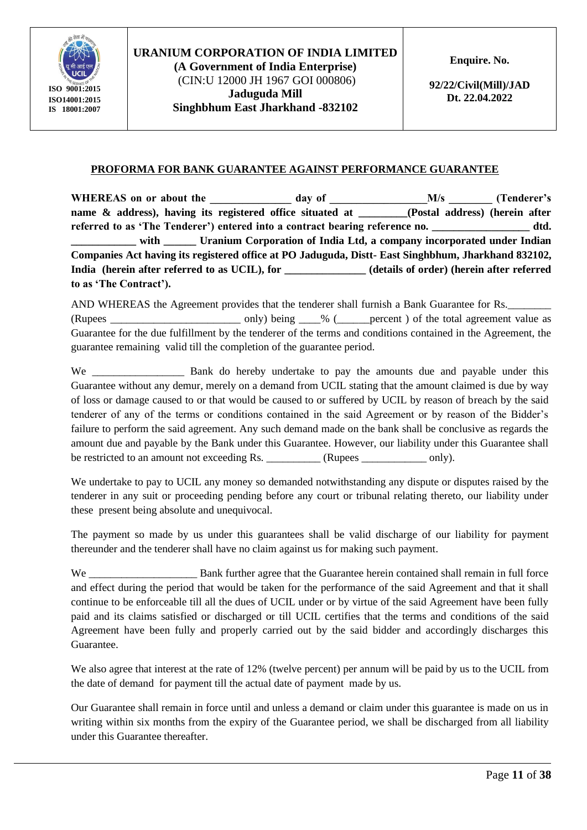

(CIN:U 12000 JH 1967 GOI 000806) **Jaduguda Mill Singhbhum East Jharkhand -832102** **Enquire. No.** 

**92/22/Civil(Mill)/JAD Dt. 22.04.2022**

#### **PROFORMA FOR BANK GUARANTEE AGAINST PERFORMANCE GUARANTEE**

WHEREAS on or about the day of M/s (Tenderer's name & address), having its registered office situated at *Postal address* (herein after **referred to as 'The Tenderer') entered into a contract bearing reference no. \_\_\_\_\_\_\_\_\_\_\_\_\_\_\_\_\_\_ dtd. \_\_\_\_\_\_\_\_\_\_\_\_ with \_\_\_\_\_\_ Uranium Corporation of India Ltd, a company incorporated under Indian Companies Act having its registered office at PO Jaduguda, Distt- East Singhbhum, Jharkhand 832102, India (herein after referred to as UCIL), for \_\_\_\_\_\_\_\_\_\_\_\_\_\_\_ (details of order) (herein after referred to as 'The Contract').**

AND WHEREAS the Agreement provides that the tenderer shall furnish a Bank Guarantee for Rs.

(Rupees \_\_\_\_\_\_\_\_\_\_\_\_\_\_\_\_\_\_\_\_\_\_\_\_ only) being \_\_\_\_% (\_\_\_\_\_\_percent ) of the total agreement value as Guarantee for the due fulfillment by the tenderer of the terms and conditions contained in the Agreement, the guarantee remaining valid till the completion of the guarantee period.

We Bank do hereby undertake to pay the amounts due and payable under this Guarantee without any demur, merely on a demand from UCIL stating that the amount claimed is due by way of loss or damage caused to or that would be caused to or suffered by UCIL by reason of breach by the said tenderer of any of the terms or conditions contained in the said Agreement or by reason of the Bidder's failure to perform the said agreement. Any such demand made on the bank shall be conclusive as regards the amount due and payable by the Bank under this Guarantee. However, our liability under this Guarantee shall be restricted to an amount not exceeding Rs. \_\_\_\_\_\_\_\_\_\_ (Rupees \_\_\_\_\_\_\_\_\_\_\_ only).

We undertake to pay to UCIL any money so demanded notwithstanding any dispute or disputes raised by the tenderer in any suit or proceeding pending before any court or tribunal relating thereto, our liability under these present being absolute and unequivocal.

The payment so made by us under this guarantees shall be valid discharge of our liability for payment thereunder and the tenderer shall have no claim against us for making such payment.

We **EXECUTE:** Bank further agree that the Guarantee herein contained shall remain in full force and effect during the period that would be taken for the performance of the said Agreement and that it shall continue to be enforceable till all the dues of UCIL under or by virtue of the said Agreement have been fully paid and its claims satisfied or discharged or till UCIL certifies that the terms and conditions of the said Agreement have been fully and properly carried out by the said bidder and accordingly discharges this Guarantee.

We also agree that interest at the rate of 12% (twelve percent) per annum will be paid by us to the UCIL from the date of demand for payment till the actual date of payment made by us.

Our Guarantee shall remain in force until and unless a demand or claim under this guarantee is made on us in writing within six months from the expiry of the Guarantee period, we shall be discharged from all liability under this Guarantee thereafter.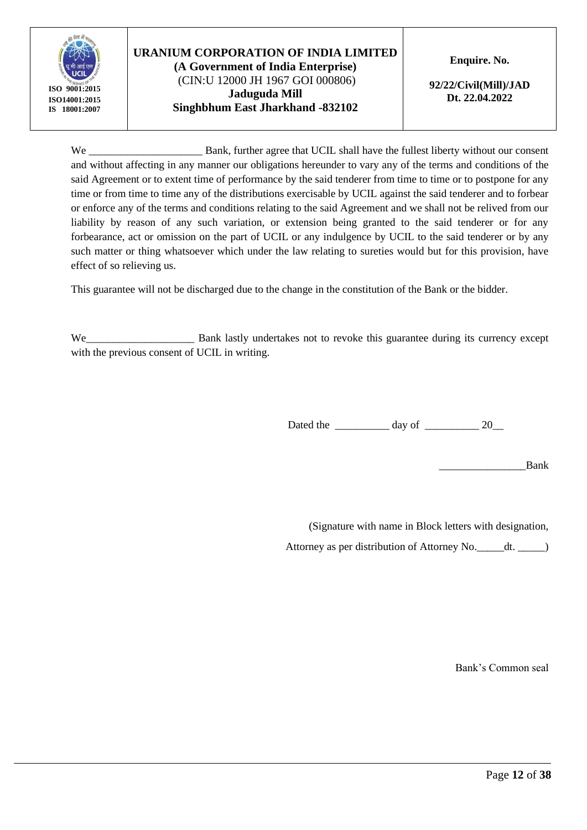

## **URANIUM CORPORATION OF INDIA LIMITED (A Government of India Enterprise)** (CIN:U 12000 JH 1967 GOI 000806) **Jaduguda Mill Singhbhum East Jharkhand -832102**

**Enquire. No.** 

**92/22/Civil(Mill)/JAD Dt. 22.04.2022**

We Bank, further agree that UCIL shall have the fullest liberty without our consent and without affecting in any manner our obligations hereunder to vary any of the terms and conditions of the said Agreement or to extent time of performance by the said tenderer from time to time or to postpone for any time or from time to time any of the distributions exercisable by UCIL against the said tenderer and to forbear or enforce any of the terms and conditions relating to the said Agreement and we shall not be relived from our liability by reason of any such variation, or extension being granted to the said tenderer or for any forbearance, act or omission on the part of UCIL or any indulgence by UCIL to the said tenderer or by any such matter or thing whatsoever which under the law relating to sureties would but for this provision, have effect of so relieving us.

This guarantee will not be discharged due to the change in the constitution of the Bank or the bidder.

We\_\_\_\_\_\_\_\_\_\_\_\_\_\_\_\_\_\_\_\_\_\_\_\_\_\_ Bank lastly undertakes not to revoke this guarantee during its currency except with the previous consent of UCIL in writing.

Dated the \_\_\_\_\_\_\_\_\_\_\_\_ day of \_\_\_\_\_\_\_\_\_\_\_\_ 20\_\_\_

\_\_\_\_\_\_\_\_\_\_\_\_\_\_\_\_Bank

(Signature with name in Block letters with designation, Attorney as per distribution of Attorney No.\_\_\_\_\_dt. \_\_\_\_\_)

Bank's Common seal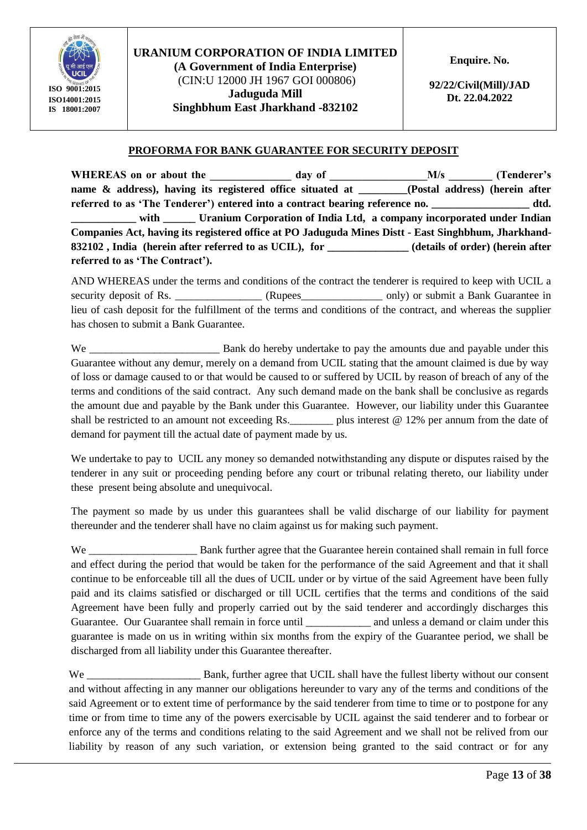

(CIN:U 12000 JH 1967 GOI 000806) **Jaduguda Mill Singhbhum East Jharkhand -832102**

**92/22/Civil(Mill)/JAD Dt. 22.04.2022**

#### **PROFORMA FOR BANK GUARANTEE FOR SECURITY DEPOSIT**

WHEREAS on or about the day of M/s (Tenderer's  $M/s$ **name & address), having its registered office situated at (Postal address) (herein after** referred to as 'The Tenderer') entered into a contract bearing reference no. \_\_\_\_\_\_\_\_\_\_\_\_\_\_\_\_\_\_ dtd. with **Little Uranium Corporation of India Ltd, a company incorporated under Indian Companies Act, having its registered office at PO Jaduguda Mines Distt - East Singhbhum, Jharkhand-832102 , India (herein after referred to as UCIL), for \_\_\_\_\_\_\_\_\_\_\_\_\_\_\_ (details of order) (herein after referred to as 'The Contract').**

AND WHEREAS under the terms and conditions of the contract the tenderer is required to keep with UCIL a security deposit of Rs. \_\_\_\_\_\_\_\_\_\_\_\_\_\_\_\_\_\_ (Rupees\_\_\_\_\_\_\_\_\_\_\_\_\_\_ only) or submit a Bank Guarantee in lieu of cash deposit for the fulfillment of the terms and conditions of the contract, and whereas the supplier has chosen to submit a Bank Guarantee.

We Bank do hereby undertake to pay the amounts due and payable under this Guarantee without any demur, merely on a demand from UCIL stating that the amount claimed is due by way of loss or damage caused to or that would be caused to or suffered by UCIL by reason of breach of any of the terms and conditions of the said contract. Any such demand made on the bank shall be conclusive as regards the amount due and payable by the Bank under this Guarantee. However, our liability under this Guarantee shall be restricted to an amount not exceeding Rs.  $\qquad \qquad$  plus interest @ 12% per annum from the date of demand for payment till the actual date of payment made by us.

We undertake to pay to UCIL any money so demanded notwithstanding any dispute or disputes raised by the tenderer in any suit or proceeding pending before any court or tribunal relating thereto, our liability under these present being absolute and unequivocal.

The payment so made by us under this guarantees shall be valid discharge of our liability for payment thereunder and the tenderer shall have no claim against us for making such payment.

We Bank further agree that the Guarantee herein contained shall remain in full force and effect during the period that would be taken for the performance of the said Agreement and that it shall continue to be enforceable till all the dues of UCIL under or by virtue of the said Agreement have been fully paid and its claims satisfied or discharged or till UCIL certifies that the terms and conditions of the said Agreement have been fully and properly carried out by the said tenderer and accordingly discharges this Guarantee. Our Guarantee shall remain in force until and unless a demand or claim under this guarantee is made on us in writing within six months from the expiry of the Guarantee period, we shall be discharged from all liability under this Guarantee thereafter.

We Bank, further agree that UCIL shall have the fullest liberty without our consent and without affecting in any manner our obligations hereunder to vary any of the terms and conditions of the said Agreement or to extent time of performance by the said tenderer from time to time or to postpone for any time or from time to time any of the powers exercisable by UCIL against the said tenderer and to forbear or enforce any of the terms and conditions relating to the said Agreement and we shall not be relived from our liability by reason of any such variation, or extension being granted to the said contract or for any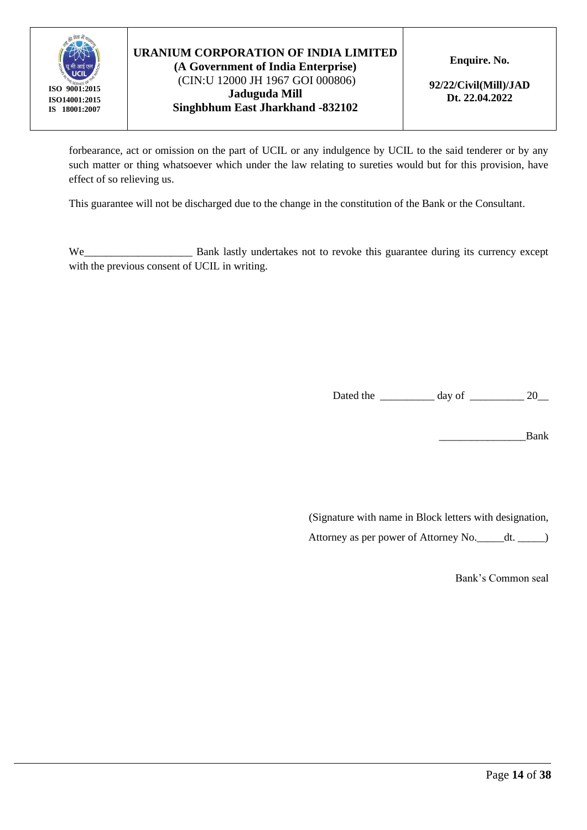

(CIN:U 12000 JH 1967 GOI 000806) **Jaduguda Mill Singhbhum East Jharkhand -832102** **Enquire. No.** 

**92/22/Civil(Mill)/JAD Dt. 22.04.2022**

forbearance, act or omission on the part of UCIL or any indulgence by UCIL to the said tenderer or by any such matter or thing whatsoever which under the law relating to sureties would but for this provision, have effect of so relieving us.

This guarantee will not be discharged due to the change in the constitution of the Bank or the Consultant.

We\_\_\_\_\_\_\_\_\_\_\_\_\_\_\_\_\_\_\_\_\_\_\_\_ Bank lastly undertakes not to revoke this guarantee during its currency except with the previous consent of UCIL in writing.

Dated the day of 20

\_\_\_\_\_\_\_\_\_\_\_\_\_\_\_\_Bank

(Signature with name in Block letters with designation,

Attorney as per power of Attorney No.\_\_\_\_\_dt. \_\_\_\_\_)

Bank's Common seal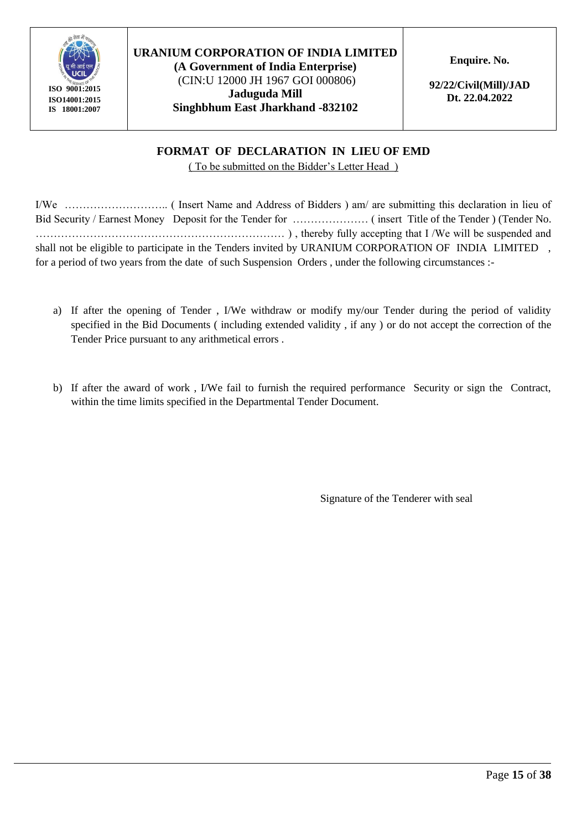

**(A Government of India Enterprise)** (CIN:U 12000 JH 1967 GOI 000806) **Jaduguda Mill Singhbhum East Jharkhand -832102** **Enquire. No.** 

**92/22/Civil(Mill)/JAD Dt. 22.04.2022**

## **FORMAT OF DECLARATION IN LIEU OF EMD**

( To be submitted on the Bidder's Letter Head )

I/We ……………………….. ( Insert Name and Address of Bidders ) am/ are submitting this declaration in lieu of Bid Security / Earnest Money Deposit for the Tender for ………………… ( insert Title of the Tender ) (Tender No. …………………………………………………………… ) , thereby fully accepting that I /We will be suspended and shall not be eligible to participate in the Tenders invited by URANIUM CORPORATION OF INDIA LIMITED, for a period of two years from the date of such Suspension Orders , under the following circumstances :-

- a) If after the opening of Tender , I/We withdraw or modify my/our Tender during the period of validity specified in the Bid Documents ( including extended validity , if any ) or do not accept the correction of the Tender Price pursuant to any arithmetical errors .
- b) If after the award of work , I/We fail to furnish the required performance Security or sign the Contract, within the time limits specified in the Departmental Tender Document.

Signature of the Tenderer with seal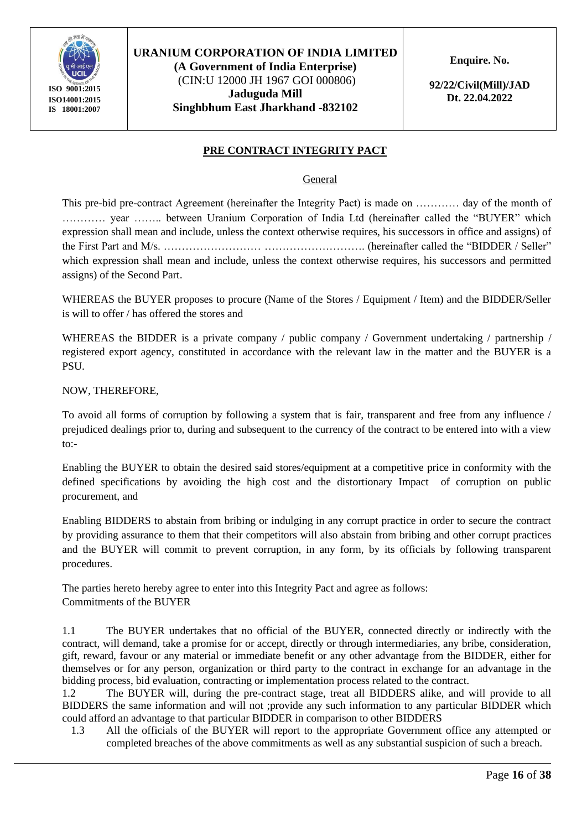

#### **URANIUM CORPORATION OF INDIA LIMITED (A Government of India Enterprise)** (CIN:U 12000 JH 1967 GOI 000806) **Jaduguda Mill**

**Singhbhum East Jharkhand -832102**

**Enquire. No.** 

**92/22/Civil(Mill)/JAD Dt. 22.04.2022**

#### **PRE CONTRACT INTEGRITY PACT**

General

This pre-bid pre-contract Agreement (hereinafter the Integrity Pact) is made on ………… day of the month of ………… year …….. between Uranium Corporation of India Ltd (hereinafter called the "BUYER" which expression shall mean and include, unless the context otherwise requires, his successors in office and assigns) of the First Part and M/s. ……………………… ………………………. (hereinafter called the "BIDDER / Seller" which expression shall mean and include, unless the context otherwise requires, his successors and permitted assigns) of the Second Part.

WHEREAS the BUYER proposes to procure (Name of the Stores / Equipment / Item) and the BIDDER/Seller is will to offer / has offered the stores and

WHEREAS the BIDDER is a private company / public company / Government undertaking / partnership / registered export agency, constituted in accordance with the relevant law in the matter and the BUYER is a PSU.

NOW, THEREFORE,

To avoid all forms of corruption by following a system that is fair, transparent and free from any influence / prejudiced dealings prior to, during and subsequent to the currency of the contract to be entered into with a view to:-

Enabling the BUYER to obtain the desired said stores/equipment at a competitive price in conformity with the defined specifications by avoiding the high cost and the distortionary Impact of corruption on public procurement, and

Enabling BIDDERS to abstain from bribing or indulging in any corrupt practice in order to secure the contract by providing assurance to them that their competitors will also abstain from bribing and other corrupt practices and the BUYER will commit to prevent corruption, in any form, by its officials by following transparent procedures.

The parties hereto hereby agree to enter into this Integrity Pact and agree as follows: Commitments of the BUYER

1.1 The BUYER undertakes that no official of the BUYER, connected directly or indirectly with the contract, will demand, take a promise for or accept, directly or through intermediaries, any bribe, consideration, gift, reward, favour or any material or immediate benefit or any other advantage from the BIDDER, either for themselves or for any person, organization or third party to the contract in exchange for an advantage in the bidding process, bid evaluation, contracting or implementation process related to the contract.

1.2 The BUYER will, during the pre-contract stage, treat all BIDDERS alike, and will provide to all BIDDERS the same information and will not ;provide any such information to any particular BIDDER which could afford an advantage to that particular BIDDER in comparison to other BIDDERS

1.3 All the officials of the BUYER will report to the appropriate Government office any attempted or completed breaches of the above commitments as well as any substantial suspicion of such a breach.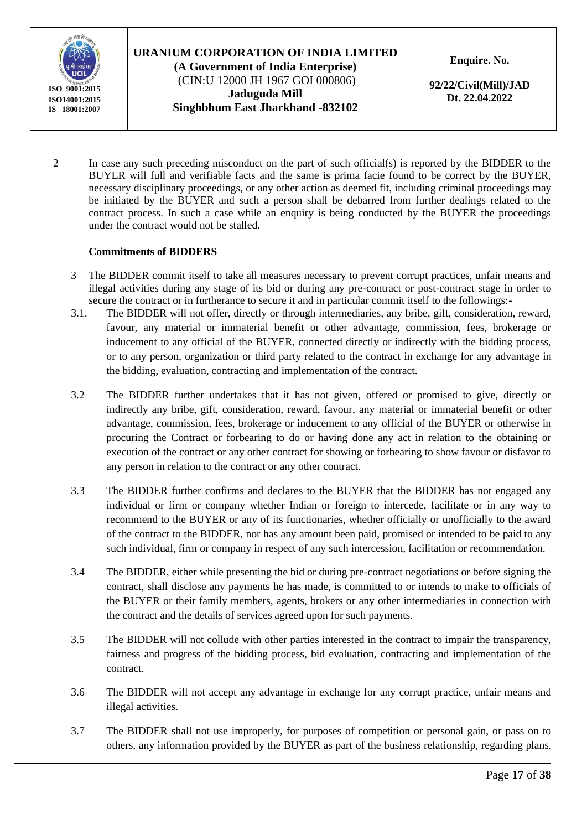

## **URANIUM CORPORATION OF INDIA LIMITED (A Government of India Enterprise)** (CIN:U 12000 JH 1967 GOI 000806)

**Jaduguda Mill Singhbhum East Jharkhand -832102** **Enquire. No.** 

**92/22/Civil(Mill)/JAD Dt. 22.04.2022**

2 In case any such preceding misconduct on the part of such official(s) is reported by the BIDDER to the BUYER will full and verifiable facts and the same is prima facie found to be correct by the BUYER, necessary disciplinary proceedings, or any other action as deemed fit, including criminal proceedings may be initiated by the BUYER and such a person shall be debarred from further dealings related to the contract process. In such a case while an enquiry is being conducted by the BUYER the proceedings under the contract would not be stalled.

#### **Commitments of BIDDERS**

- 3 The BIDDER commit itself to take all measures necessary to prevent corrupt practices, unfair means and illegal activities during any stage of its bid or during any pre-contract or post-contract stage in order to secure the contract or in furtherance to secure it and in particular commit itself to the followings:-
- 3.1. The BIDDER will not offer, directly or through intermediaries, any bribe, gift, consideration, reward, favour, any material or immaterial benefit or other advantage, commission, fees, brokerage or inducement to any official of the BUYER, connected directly or indirectly with the bidding process, or to any person, organization or third party related to the contract in exchange for any advantage in the bidding, evaluation, contracting and implementation of the contract.
- 3.2 The BIDDER further undertakes that it has not given, offered or promised to give, directly or indirectly any bribe, gift, consideration, reward, favour, any material or immaterial benefit or other advantage, commission, fees, brokerage or inducement to any official of the BUYER or otherwise in procuring the Contract or forbearing to do or having done any act in relation to the obtaining or execution of the contract or any other contract for showing or forbearing to show favour or disfavor to any person in relation to the contract or any other contract.
- 3.3 The BIDDER further confirms and declares to the BUYER that the BIDDER has not engaged any individual or firm or company whether Indian or foreign to intercede, facilitate or in any way to recommend to the BUYER or any of its functionaries, whether officially or unofficially to the award of the contract to the BIDDER, nor has any amount been paid, promised or intended to be paid to any such individual, firm or company in respect of any such intercession, facilitation or recommendation.
- 3.4 The BIDDER, either while presenting the bid or during pre-contract negotiations or before signing the contract, shall disclose any payments he has made, is committed to or intends to make to officials of the BUYER or their family members, agents, brokers or any other intermediaries in connection with the contract and the details of services agreed upon for such payments.
- 3.5 The BIDDER will not collude with other parties interested in the contract to impair the transparency, fairness and progress of the bidding process, bid evaluation, contracting and implementation of the contract.
- 3.6 The BIDDER will not accept any advantage in exchange for any corrupt practice, unfair means and illegal activities.
- 3.7 The BIDDER shall not use improperly, for purposes of competition or personal gain, or pass on to others, any information provided by the BUYER as part of the business relationship, regarding plans,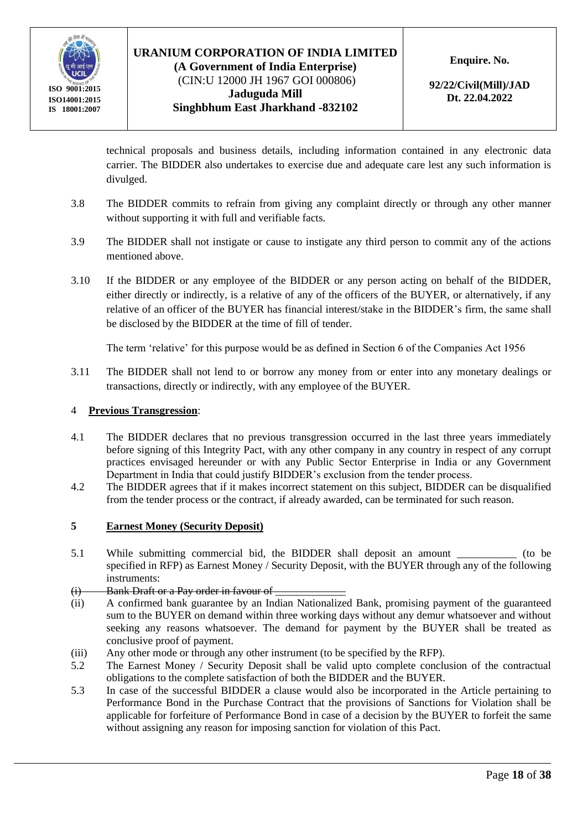

#### **URANIUM CORPORATION OF INDIA LIMITED (A Government of India Enterprise)** (CIN:U 12000 JH 1967 GOI 000806)

**Jaduguda Mill Singhbhum East Jharkhand -832102** **Enquire. No.** 

**92/22/Civil(Mill)/JAD Dt. 22.04.2022**

technical proposals and business details, including information contained in any electronic data carrier. The BIDDER also undertakes to exercise due and adequate care lest any such information is divulged.

- 3.8 The BIDDER commits to refrain from giving any complaint directly or through any other manner without supporting it with full and verifiable facts.
- 3.9 The BIDDER shall not instigate or cause to instigate any third person to commit any of the actions mentioned above.
- 3.10 If the BIDDER or any employee of the BIDDER or any person acting on behalf of the BIDDER, either directly or indirectly, is a relative of any of the officers of the BUYER, or alternatively, if any relative of an officer of the BUYER has financial interest/stake in the BIDDER's firm, the same shall be disclosed by the BIDDER at the time of fill of tender.

The term 'relative' for this purpose would be as defined in Section 6 of the Companies Act 1956

3.11 The BIDDER shall not lend to or borrow any money from or enter into any monetary dealings or transactions, directly or indirectly, with any employee of the BUYER.

#### 4 **Previous Transgression**:

- 4.1 The BIDDER declares that no previous transgression occurred in the last three years immediately before signing of this Integrity Pact, with any other company in any country in respect of any corrupt practices envisaged hereunder or with any Public Sector Enterprise in India or any Government Department in India that could justify BIDDER's exclusion from the tender process.
- 4.2 The BIDDER agrees that if it makes incorrect statement on this subject, BIDDER can be disqualified from the tender process or the contract, if already awarded, can be terminated for such reason.

#### **5 Earnest Money (Security Deposit)**

5.1 While submitting commercial bid, the BIDDER shall deposit an amount  $($ to be specified in RFP) as Earnest Money / Security Deposit, with the BUYER through any of the following instruments:

#### (i) Bank Draft or a Pay order in favour of

- (ii) A confirmed bank guarantee by an Indian Nationalized Bank, promising payment of the guaranteed sum to the BUYER on demand within three working days without any demur whatsoever and without seeking any reasons whatsoever. The demand for payment by the BUYER shall be treated as conclusive proof of payment.
- (iii) Any other mode or through any other instrument (to be specified by the RFP).
- 5.2 The Earnest Money / Security Deposit shall be valid upto complete conclusion of the contractual obligations to the complete satisfaction of both the BIDDER and the BUYER.
- 5.3 In case of the successful BIDDER a clause would also be incorporated in the Article pertaining to Performance Bond in the Purchase Contract that the provisions of Sanctions for Violation shall be applicable for forfeiture of Performance Bond in case of a decision by the BUYER to forfeit the same without assigning any reason for imposing sanction for violation of this Pact.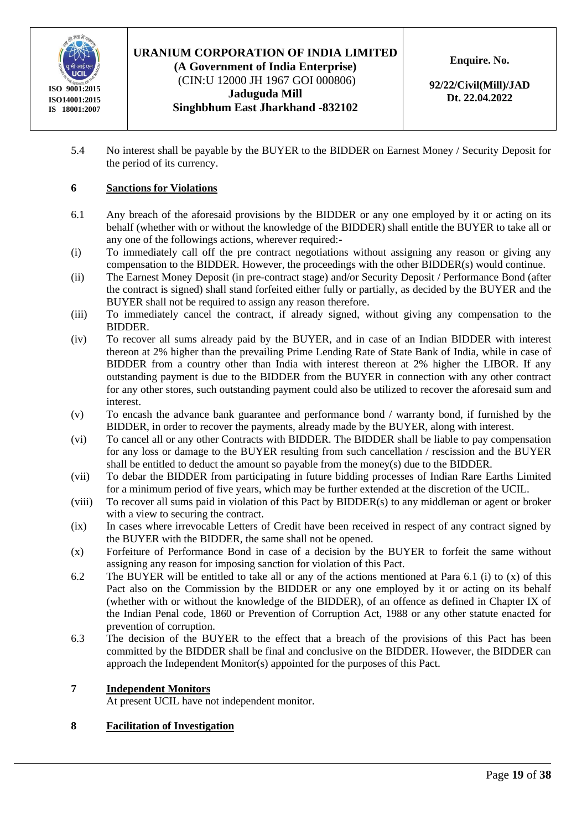

**(A Government of India Enterprise)** (CIN:U 12000 JH 1967 GOI 000806) **Jaduguda Mill Singhbhum East Jharkhand -832102** **Enquire. No.** 

**92/22/Civil(Mill)/JAD Dt. 22.04.2022**

5.4 No interest shall be payable by the BUYER to the BIDDER on Earnest Money / Security Deposit for the period of its currency.

#### **6 Sanctions for Violations**

- 6.1 Any breach of the aforesaid provisions by the BIDDER or any one employed by it or acting on its behalf (whether with or without the knowledge of the BIDDER) shall entitle the BUYER to take all or any one of the followings actions, wherever required:-
- (i) To immediately call off the pre contract negotiations without assigning any reason or giving any compensation to the BIDDER. However, the proceedings with the other BIDDER(s) would continue.
- (ii) The Earnest Money Deposit (in pre-contract stage) and/or Security Deposit / Performance Bond (after the contract is signed) shall stand forfeited either fully or partially, as decided by the BUYER and the BUYER shall not be required to assign any reason therefore.
- (iii) To immediately cancel the contract, if already signed, without giving any compensation to the BIDDER.
- (iv) To recover all sums already paid by the BUYER, and in case of an Indian BIDDER with interest thereon at 2% higher than the prevailing Prime Lending Rate of State Bank of India, while in case of BIDDER from a country other than India with interest thereon at 2% higher the LIBOR. If any outstanding payment is due to the BIDDER from the BUYER in connection with any other contract for any other stores, such outstanding payment could also be utilized to recover the aforesaid sum and interest.
- (v) To encash the advance bank guarantee and performance bond / warranty bond, if furnished by the BIDDER, in order to recover the payments, already made by the BUYER, along with interest.
- (vi) To cancel all or any other Contracts with BIDDER. The BIDDER shall be liable to pay compensation for any loss or damage to the BUYER resulting from such cancellation / rescission and the BUYER shall be entitled to deduct the amount so payable from the money(s) due to the BIDDER.
- (vii) To debar the BIDDER from participating in future bidding processes of Indian Rare Earths Limited for a minimum period of five years, which may be further extended at the discretion of the UCIL.
- (viii) To recover all sums paid in violation of this Pact by BIDDER(s) to any middleman or agent or broker with a view to securing the contract.
- (ix) In cases where irrevocable Letters of Credit have been received in respect of any contract signed by the BUYER with the BIDDER, the same shall not be opened.
- (x) Forfeiture of Performance Bond in case of a decision by the BUYER to forfeit the same without assigning any reason for imposing sanction for violation of this Pact.
- 6.2 The BUYER will be entitled to take all or any of the actions mentioned at Para 6.1 (i) to (x) of this Pact also on the Commission by the BIDDER or any one employed by it or acting on its behalf (whether with or without the knowledge of the BIDDER), of an offence as defined in Chapter IX of the Indian Penal code, 1860 or Prevention of Corruption Act, 1988 or any other statute enacted for prevention of corruption.
- 6.3 The decision of the BUYER to the effect that a breach of the provisions of this Pact has been committed by the BIDDER shall be final and conclusive on the BIDDER. However, the BIDDER can approach the Independent Monitor(s) appointed for the purposes of this Pact.

#### **7 Independent Monitors**

At present UCIL have not independent monitor.

#### **8 Facilitation of Investigation**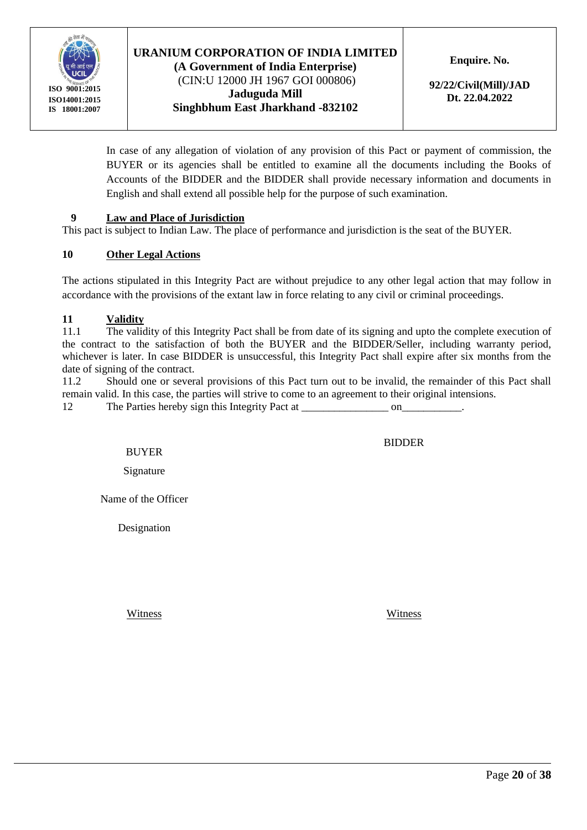

(CIN:U 12000 JH 1967 GOI 000806) **Jaduguda Mill Singhbhum East Jharkhand -832102** **Enquire. No.** 

**92/22/Civil(Mill)/JAD Dt. 22.04.2022**

In case of any allegation of violation of any provision of this Pact or payment of commission, the BUYER or its agencies shall be entitled to examine all the documents including the Books of Accounts of the BIDDER and the BIDDER shall provide necessary information and documents in English and shall extend all possible help for the purpose of such examination.

#### **9 Law and Place of Jurisdiction**

This pact is subject to Indian Law. The place of performance and jurisdiction is the seat of the BUYER.

#### **10 Other Legal Actions**

The actions stipulated in this Integrity Pact are without prejudice to any other legal action that may follow in accordance with the provisions of the extant law in force relating to any civil or criminal proceedings.

#### **11 Validity**

11.1 The validity of this Integrity Pact shall be from date of its signing and upto the complete execution of the contract to the satisfaction of both the BUYER and the BIDDER/Seller, including warranty period, whichever is later. In case BIDDER is unsuccessful, this Integrity Pact shall expire after six months from the date of signing of the contract.

11.2 Should one or several provisions of this Pact turn out to be invalid, the remainder of this Pact shall remain valid. In this case, the parties will strive to come to an agreement to their original intensions.

12 The Parties hereby sign this Integrity Pact at  $\qquad \qquad$  on

BUYER

Signature

Name of the Officer

Designation

Witness Witness

BIDDER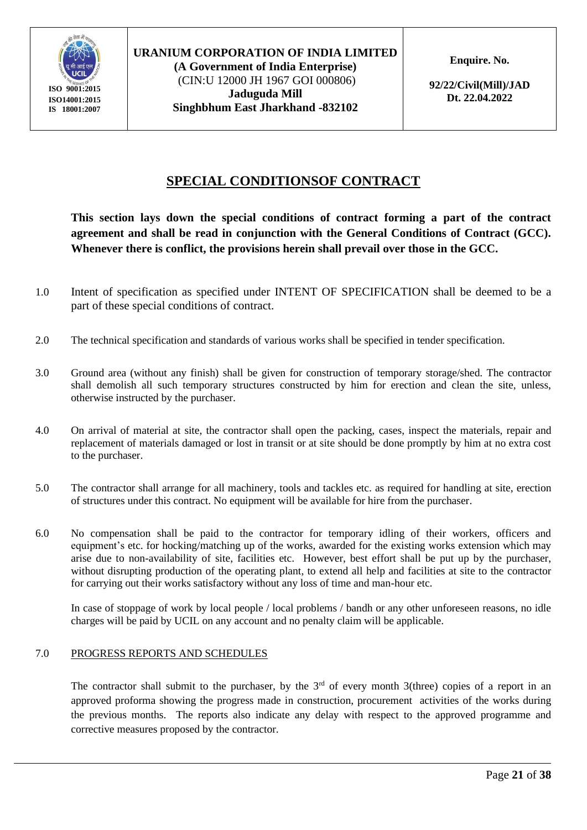

#### **URANIUM CORPORATION OF INDIA LIMITED (A Government of India Enterprise)** (CIN:U 12000 JH 1967 GOI 000806) **Jaduguda Mill**

**Singhbhum East Jharkhand -832102**

**Enquire. No.** 

**92/22/Civil(Mill)/JAD Dt. 22.04.2022**

# **SPECIAL CONDITIONSOF CONTRACT**

**This section lays down the special conditions of contract forming a part of the contract agreement and shall be read in conjunction with the General Conditions of Contract (GCC). Whenever there is conflict, the provisions herein shall prevail over those in the GCC.**

- 1.0 Intent of specification as specified under INTENT OF SPECIFICATION shall be deemed to be a part of these special conditions of contract.
- 2.0 The technical specification and standards of various works shall be specified in tender specification.
- 3.0 Ground area (without any finish) shall be given for construction of temporary storage/shed. The contractor shall demolish all such temporary structures constructed by him for erection and clean the site, unless, otherwise instructed by the purchaser.
- 4.0 On arrival of material at site, the contractor shall open the packing, cases, inspect the materials, repair and replacement of materials damaged or lost in transit or at site should be done promptly by him at no extra cost to the purchaser.
- 5.0 The contractor shall arrange for all machinery, tools and tackles etc. as required for handling at site, erection of structures under this contract. No equipment will be available for hire from the purchaser.
- 6.0 No compensation shall be paid to the contractor for temporary idling of their workers, officers and equipment's etc. for hocking/matching up of the works, awarded for the existing works extension which may arise due to non-availability of site, facilities etc. However, best effort shall be put up by the purchaser, without disrupting production of the operating plant, to extend all help and facilities at site to the contractor for carrying out their works satisfactory without any loss of time and man-hour etc.

In case of stoppage of work by local people / local problems / bandh or any other unforeseen reasons, no idle charges will be paid by UCIL on any account and no penalty claim will be applicable.

#### 7.0 PROGRESS REPORTS AND SCHEDULES

The contractor shall submit to the purchaser, by the  $3<sup>rd</sup>$  of every month 3(three) copies of a report in an approved proforma showing the progress made in construction, procurement activities of the works during the previous months. The reports also indicate any delay with respect to the approved programme and corrective measures proposed by the contractor.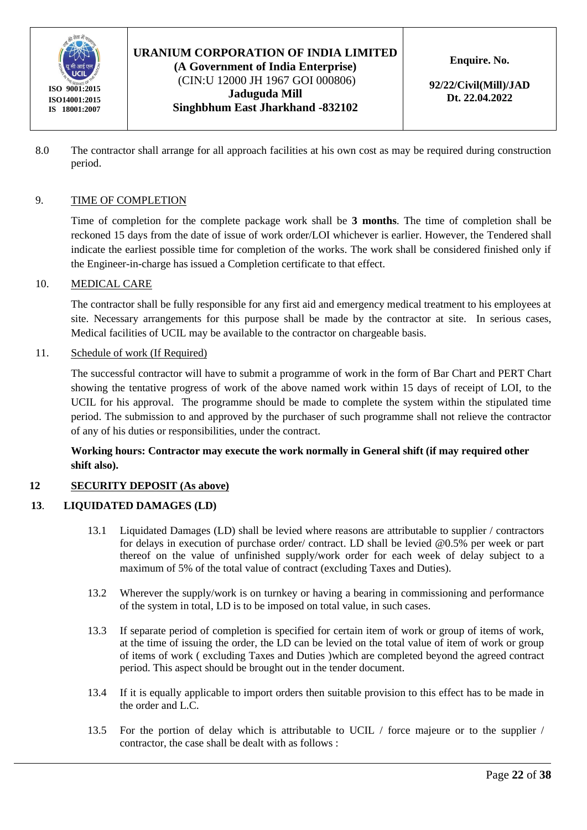

(CIN:U 12000 JH 1967 GOI 000806) **Jaduguda Mill Singhbhum East Jharkhand -832102** **Enquire. No.** 

**92/22/Civil(Mill)/JAD Dt. 22.04.2022**

8.0 The contractor shall arrange for all approach facilities at his own cost as may be required during construction period.

#### 9. TIME OF COMPLETION

Time of completion for the complete package work shall be **3 months**. The time of completion shall be reckoned 15 days from the date of issue of work order/LOI whichever is earlier. However, the Tendered shall indicate the earliest possible time for completion of the works. The work shall be considered finished only if the Engineer-in-charge has issued a Completion certificate to that effect.

#### 10. MEDICAL CARE

The contractor shall be fully responsible for any first aid and emergency medical treatment to his employees at site. Necessary arrangements for this purpose shall be made by the contractor at site. In serious cases, Medical facilities of UCIL may be available to the contractor on chargeable basis.

#### 11. Schedule of work (If Required)

The successful contractor will have to submit a programme of work in the form of Bar Chart and PERT Chart showing the tentative progress of work of the above named work within 15 days of receipt of LOI, to the UCIL for his approval. The programme should be made to complete the system within the stipulated time period. The submission to and approved by the purchaser of such programme shall not relieve the contractor of any of his duties or responsibilities, under the contract.

#### **Working hours: Contractor may execute the work normally in General shift (if may required other shift also).**

#### **12 SECURITY DEPOSIT (As above)**

#### **13**. **LIQUIDATED DAMAGES (LD)**

- 13.1 Liquidated Damages (LD) shall be levied where reasons are attributable to supplier / contractors for delays in execution of purchase order/ contract. LD shall be levied @0.5% per week or part thereof on the value of unfinished supply/work order for each week of delay subject to a maximum of 5% of the total value of contract (excluding Taxes and Duties).
- 13.2 Wherever the supply/work is on turnkey or having a bearing in commissioning and performance of the system in total, LD is to be imposed on total value, in such cases.
- 13.3 If separate period of completion is specified for certain item of work or group of items of work, at the time of issuing the order, the LD can be levied on the total value of item of work or group of items of work ( excluding Taxes and Duties )which are completed beyond the agreed contract period. This aspect should be brought out in the tender document.
- 13.4 If it is equally applicable to import orders then suitable provision to this effect has to be made in the order and L.C.
- 13.5 For the portion of delay which is attributable to UCIL / force majeure or to the supplier / contractor, the case shall be dealt with as follows :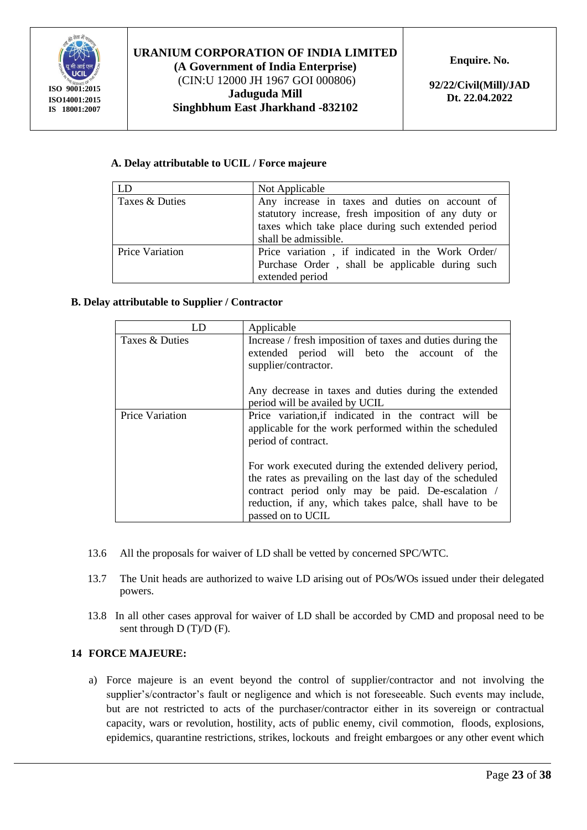

(CIN:U 12000 JH 1967 GOI 000806) **Jaduguda Mill Singhbhum East Jharkhand -832102** **Enquire. No.** 

**92/22/Civil(Mill)/JAD Dt. 22.04.2022**

#### **A. Delay attributable to UCIL / Force majeure**

| LD              | Not Applicable                                                                                                                                                                      |
|-----------------|-------------------------------------------------------------------------------------------------------------------------------------------------------------------------------------|
| Taxes & Duties  | Any increase in taxes and duties on account of<br>statutory increase, fresh imposition of any duty or<br>taxes which take place during such extended period<br>shall be admissible. |
| Price Variation | Price variation, if indicated in the Work Order/<br>Purchase Order, shall be applicable during such<br>extended period                                                              |

#### **B. Delay attributable to Supplier / Contractor**

| LD                     | Applicable                                                                                                                                                                                                                                             |
|------------------------|--------------------------------------------------------------------------------------------------------------------------------------------------------------------------------------------------------------------------------------------------------|
| Taxes & Duties         | Increase / fresh imposition of taxes and duties during the<br>extended period will beto the account of the<br>supplier/contractor.<br>Any decrease in taxes and duties during the extended                                                             |
|                        | period will be availed by UCIL                                                                                                                                                                                                                         |
| <b>Price Variation</b> | Price variation, if indicated in the contract will be<br>applicable for the work performed within the scheduled<br>period of contract.                                                                                                                 |
|                        | For work executed during the extended delivery period,<br>the rates as prevailing on the last day of the scheduled<br>contract period only may be paid. De-escalation /<br>reduction, if any, which takes palce, shall have to be<br>passed on to UCIL |

- 13.6 All the proposals for waiver of LD shall be vetted by concerned SPC/WTC.
- 13.7 The Unit heads are authorized to waive LD arising out of POs/WOs issued under their delegated powers.
- 13.8 In all other cases approval for waiver of LD shall be accorded by CMD and proposal need to be sent through D (T)/D (F).

#### **14 FORCE MAJEURE:**

a) Force majeure is an event beyond the control of supplier/contractor and not involving the supplier's/contractor's fault or negligence and which is not foreseeable. Such events may include, but are not restricted to acts of the purchaser/contractor either in its sovereign or contractual capacity, wars or revolution, hostility, acts of public enemy, civil commotion, floods, explosions, epidemics, quarantine restrictions, strikes, lockouts and freight embargoes or any other event which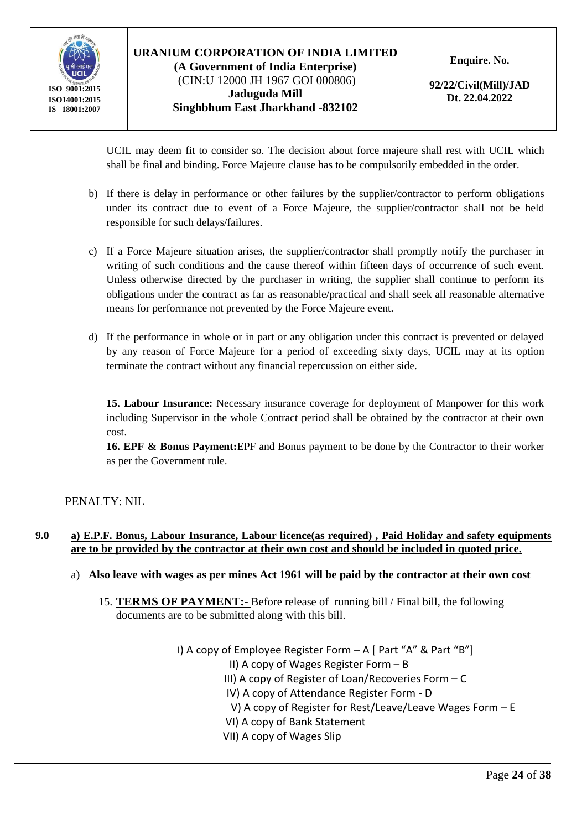

## **URANIUM CORPORATION OF INDIA LIMITED (A Government of India Enterprise)** (CIN:U 12000 JH 1967 GOI 000806) **Jaduguda Mill Singhbhum East Jharkhand -832102**

**Enquire. No.** 

**92/22/Civil(Mill)/JAD Dt. 22.04.2022**

UCIL may deem fit to consider so. The decision about force majeure shall rest with UCIL which shall be final and binding. Force Majeure clause has to be compulsorily embedded in the order*.*

- b) If there is delay in performance or other failures by the supplier/contractor to perform obligations under its contract due to event of a Force Majeure, the supplier/contractor shall not be held responsible for such delays/failures.
- c) If a Force Majeure situation arises, the supplier/contractor shall promptly notify the purchaser in writing of such conditions and the cause thereof within fifteen days of occurrence of such event. Unless otherwise directed by the purchaser in writing, the supplier shall continue to perform its obligations under the contract as far as reasonable/practical and shall seek all reasonable alternative means for performance not prevented by the Force Majeure event.
- d) If the performance in whole or in part or any obligation under this contract is prevented or delayed by any reason of Force Majeure for a period of exceeding sixty days, UCIL may at its option terminate the contract without any financial repercussion on either side.

**15. Labour Insurance:** Necessary insurance coverage for deployment of Manpower for this work including Supervisor in the whole Contract period shall be obtained by the contractor at their own cost.

**16. EPF & Bonus Payment:**EPF and Bonus payment to be done by the Contractor to their worker as per the Government rule.

PENALTY: NIL

#### **9.0 a) E.P.F. Bonus, Labour Insurance, Labour licence(as required) , Paid Holiday and safety equipments are to be provided by the contractor at their own cost and should be included in quoted price.**

#### a) **Also leave with wages as per mines Act 1961 will be paid by the contractor at their own cost**

15. **TERMS OF PAYMENT:-** Before release of running bill / Final bill, the following documents are to be submitted along with this bill.

> I) A copy of Employee Register Form  $-A$  [ Part "A" & Part "B"] II) A copy of Wages Register Form – B III) A copy of Register of Loan/Recoveries Form – C IV) A copy of Attendance Register Form - D V) A copy of Register for Rest/Leave/Leave Wages Form – E VI) A copy of Bank Statement VII) A copy of Wages Slip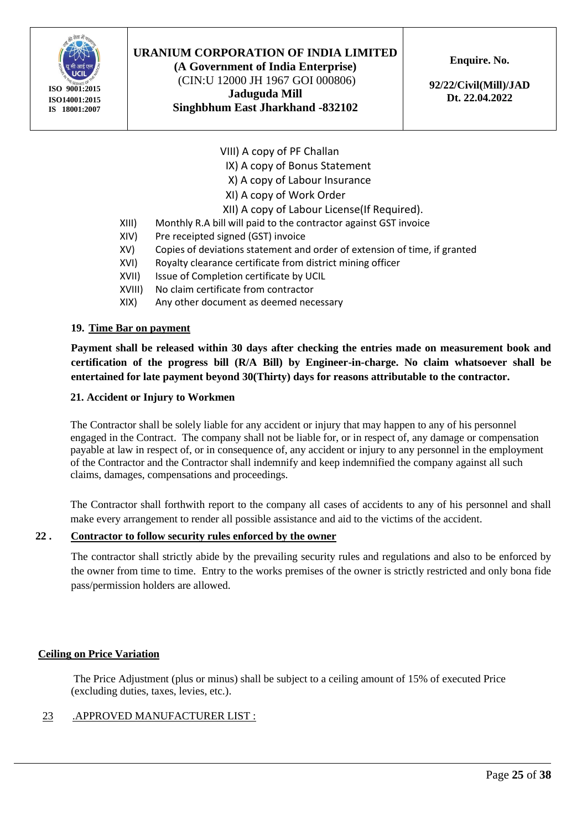

**(A Government of India Enterprise)** (CIN:U 12000 JH 1967 GOI 000806) **Jaduguda Mill Singhbhum East Jharkhand -832102** **Enquire. No.** 

**92/22/Civil(Mill)/JAD Dt. 22.04.2022**

VIII) A copy of PF Challan

IX) A copy of Bonus Statement

X) A copy of Labour Insurance

XI) A copy of Work Order

XII) A copy of Labour License(If Required).

- XIII) Monthly R.A bill will paid to the contractor against GST invoice
- XIV) Pre receipted signed (GST) invoice
- XV) Copies of deviations statement and order of extension of time, if granted
- XVI) Royalty clearance certificate from district mining officer
- XVII) Issue of Completion certificate by UCIL
- XVIII) No claim certificate from contractor
- XIX) Any other document as deemed necessary

#### **19. Time Bar on payment**

**Payment shall be released within 30 days after checking the entries made on measurement book and certification of the progress bill (R/A Bill) by Engineer-in-charge. No claim whatsoever shall be entertained for late payment beyond 30(Thirty) days for reasons attributable to the contractor.**

#### **21. Accident or Injury to Workmen**

The Contractor shall be solely liable for any accident or injury that may happen to any of his personnel engaged in the Contract. The company shall not be liable for, or in respect of, any damage or compensation payable at law in respect of, or in consequence of, any accident or injury to any personnel in the employment of the Contractor and the Contractor shall indemnify and keep indemnified the company against all such claims, damages, compensations and proceedings.

The Contractor shall forthwith report to the company all cases of accidents to any of his personnel and shall make every arrangement to render all possible assistance and aid to the victims of the accident.

#### **22 . Contractor to follow security rules enforced by the owner**

The contractor shall strictly abide by the prevailing security rules and regulations and also to be enforced by the owner from time to time. Entry to the works premises of the owner is strictly restricted and only bona fide pass/permission holders are allowed.

#### **Ceiling on Price Variation**

The Price Adjustment (plus or minus) shall be subject to a ceiling amount of 15% of executed Price (excluding duties, taxes, levies, etc.).

#### 23 .APPROVED MANUFACTURER LIST :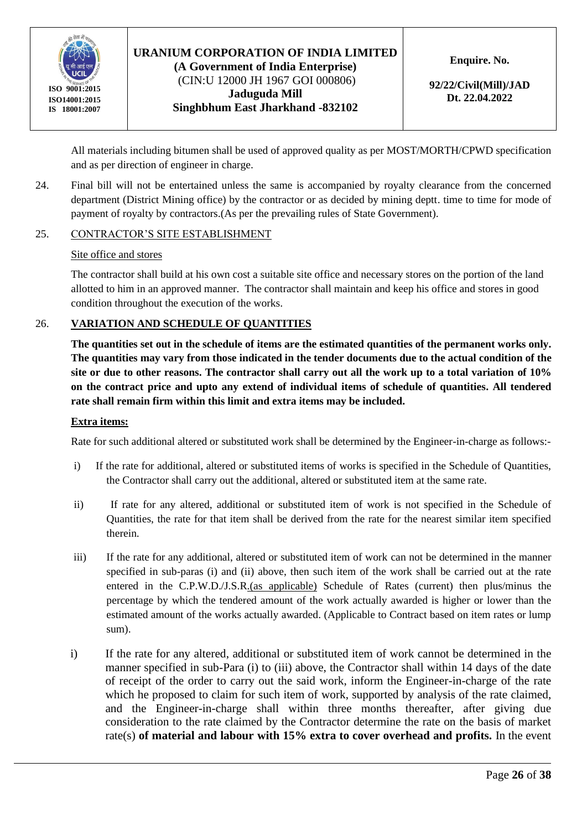

#### **URANIUM CORPORATION OF INDIA LIMITED (A Government of India Enterprise)** (CIN:U 12000 JH 1967 GOI 000806)

**Jaduguda Mill Singhbhum East Jharkhand -832102** **Enquire. No.** 

**92/22/Civil(Mill)/JAD Dt. 22.04.2022**

All materials including bitumen shall be used of approved quality as per MOST/MORTH/CPWD specification and as per direction of engineer in charge.

24. Final bill will not be entertained unless the same is accompanied by royalty clearance from the concerned department (District Mining office) by the contractor or as decided by mining deptt. time to time for mode of payment of royalty by contractors.(As per the prevailing rules of State Government).

#### 25. CONTRACTOR'S SITE ESTABLISHMENT

#### Site office and stores

The contractor shall build at his own cost a suitable site office and necessary stores on the portion of the land allotted to him in an approved manner. The contractor shall maintain and keep his office and stores in good condition throughout the execution of the works.

#### 26. **VARIATION AND SCHEDULE OF QUANTITIES**

The quantities set out in the schedule of items are the estimated quantities of the permanent works only. **The quantities may vary from those indicated in the tender documents due to the actual condition of the site or due to other reasons. The contractor shall carry out all the work up to a total variation of 10% on the contract price and upto any extend of individual items of schedule of quantities. All tendered rate shall remain firm within this limit and extra items may be included.**

#### **Extra items:**

Rate for such additional altered or substituted work shall be determined by the Engineer-in-charge as follows:-

- i) If the rate for additional, altered or substituted items of works is specified in the Schedule of Quantities, the Contractor shall carry out the additional, altered or substituted item at the same rate.
- ii) If rate for any altered, additional or substituted item of work is not specified in the Schedule of Quantities, the rate for that item shall be derived from the rate for the nearest similar item specified therein.
- iii) If the rate for any additional, altered or substituted item of work can not be determined in the manner specified in sub-paras (i) and (ii) above, then such item of the work shall be carried out at the rate entered in the C.P.W.D./J.S.R.(as applicable) Schedule of Rates (current) then plus/minus the percentage by which the tendered amount of the work actually awarded is higher or lower than the estimated amount of the works actually awarded. (Applicable to Contract based on item rates or lump sum).
- i) If the rate for any altered, additional or substituted item of work cannot be determined in the manner specified in sub-Para (i) to (iii) above, the Contractor shall within 14 days of the date of receipt of the order to carry out the said work, inform the Engineer-in-charge of the rate which he proposed to claim for such item of work, supported by analysis of the rate claimed, and the Engineer-in-charge shall within three months thereafter, after giving due consideration to the rate claimed by the Contractor determine the rate on the basis of market rate(s) **of material and labour with 15% extra to cover overhead and profits.** In the event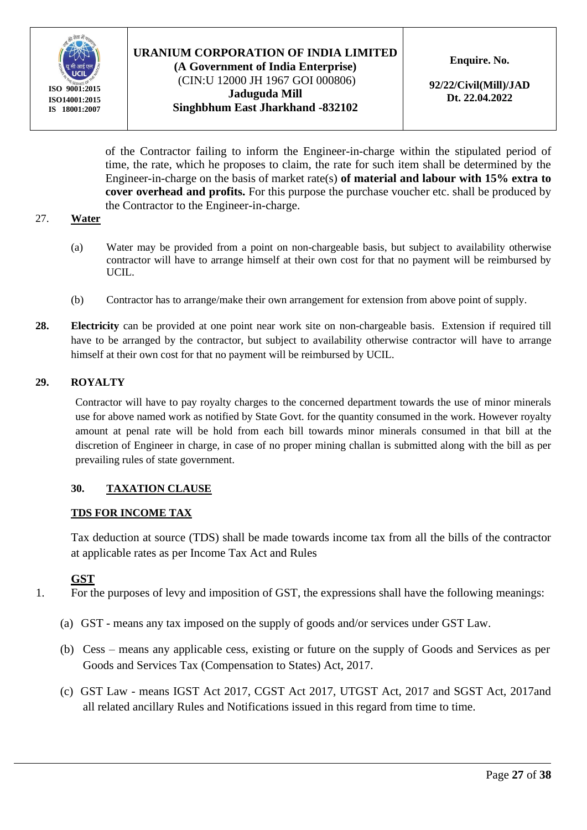

#### **URANIUM CORPORATION OF INDIA LIMITED (A Government of India Enterprise)** (CIN:U 12000 JH 1967 GOI 000806) **Jaduguda Mill**

**Singhbhum East Jharkhand -832102**

**Enquire. No.** 

**92/22/Civil(Mill)/JAD Dt. 22.04.2022**

of the Contractor failing to inform the Engineer-in-charge within the stipulated period of time, the rate, which he proposes to claim, the rate for such item shall be determined by the Engineer-in-charge on the basis of market rate(s) **of material and labour with 15% extra to cover overhead and profits.** For this purpose the purchase voucher etc. shall be produced by the Contractor to the Engineer-in-charge.

#### 27. **Water**

- (a) Water may be provided from a point on non-chargeable basis, but subject to availability otherwise contractor will have to arrange himself at their own cost for that no payment will be reimbursed by UCIL.
- (b) Contractor has to arrange/make their own arrangement for extension from above point of supply.
- **28. Electricity** can be provided at one point near work site on non-chargeable basis. Extension if required till have to be arranged by the contractor, but subject to availability otherwise contractor will have to arrange himself at their own cost for that no payment will be reimbursed by UCIL.

#### **29. ROYALTY**

Contractor will have to pay royalty charges to the concerned department towards the use of minor minerals use for above named work as notified by State Govt. for the quantity consumed in the work. However royalty amount at penal rate will be hold from each bill towards minor minerals consumed in that bill at the discretion of Engineer in charge, in case of no proper mining challan is submitted along with the bill as per prevailing rules of state government.

#### **30. TAXATION CLAUSE**

#### **TDS FOR INCOME TAX**

Tax deduction at source (TDS) shall be made towards income tax from all the bills of the contractor at applicable rates as per Income Tax Act and Rules

#### **GST**

- 1. For the purposes of levy and imposition of GST, the expressions shall have the following meanings:
	- (a) GST means any tax imposed on the supply of goods and/or services under GST Law.
	- (b) Cess means any applicable cess, existing or future on the supply of Goods and Services as per Goods and Services Tax (Compensation to States) Act, 2017.
	- (c) GST Law means IGST Act 2017, CGST Act 2017, UTGST Act, 2017 and SGST Act, 2017and all related ancillary Rules and Notifications issued in this regard from time to time.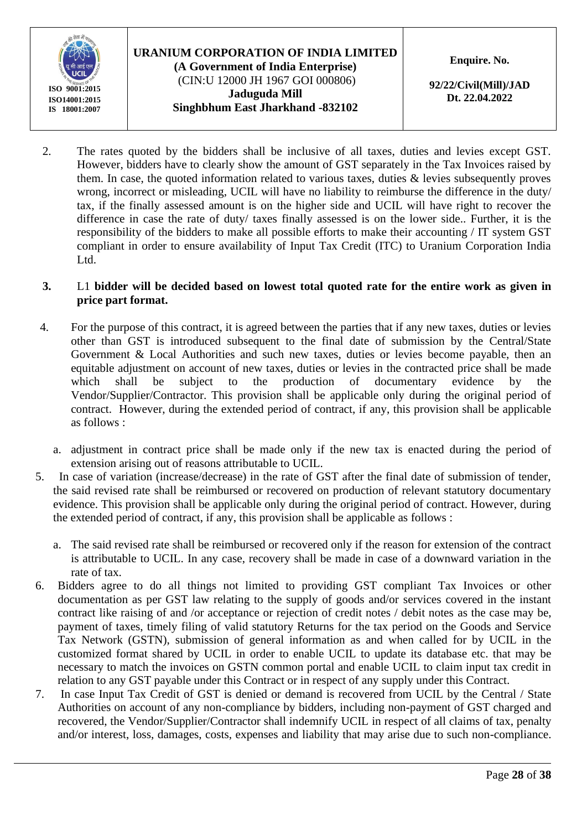

## **URANIUM CORPORATION OF INDIA LIMITED (A Government of India Enterprise)** (CIN:U 12000 JH 1967 GOI 000806) **Jaduguda Mill Singhbhum East Jharkhand -832102**

**Enquire. No.** 

**92/22/Civil(Mill)/JAD Dt. 22.04.2022**

2. The rates quoted by the bidders shall be inclusive of all taxes, duties and levies except GST. However, bidders have to clearly show the amount of GST separately in the Tax Invoices raised by them. In case, the quoted information related to various taxes, duties & levies subsequently proves wrong, incorrect or misleading, UCIL will have no liability to reimburse the difference in the duty/ tax, if the finally assessed amount is on the higher side and UCIL will have right to recover the difference in case the rate of duty/ taxes finally assessed is on the lower side.. Further, it is the responsibility of the bidders to make all possible efforts to make their accounting / IT system GST compliant in order to ensure availability of Input Tax Credit (ITC) to Uranium Corporation India Ltd.

#### **3.** L1 **bidder will be decided based on lowest total quoted rate for the entire work as given in price part format.**

- 4. For the purpose of this contract, it is agreed between the parties that if any new taxes, duties or levies other than GST is introduced subsequent to the final date of submission by the Central/State Government & Local Authorities and such new taxes, duties or levies become payable, then an equitable adjustment on account of new taxes, duties or levies in the contracted price shall be made which shall be subject to the production of documentary evidence by the Vendor/Supplier/Contractor. This provision shall be applicable only during the original period of contract. However, during the extended period of contract, if any, this provision shall be applicable as follows :
	- a. adjustment in contract price shall be made only if the new tax is enacted during the period of extension arising out of reasons attributable to UCIL.
- 5. In case of variation (increase/decrease) in the rate of GST after the final date of submission of tender, the said revised rate shall be reimbursed or recovered on production of relevant statutory documentary evidence. This provision shall be applicable only during the original period of contract. However, during the extended period of contract, if any, this provision shall be applicable as follows :
	- a. The said revised rate shall be reimbursed or recovered only if the reason for extension of the contract is attributable to UCIL. In any case, recovery shall be made in case of a downward variation in the rate of tax.
- 6. Bidders agree to do all things not limited to providing GST compliant Tax Invoices or other documentation as per GST law relating to the supply of goods and/or services covered in the instant contract like raising of and /or acceptance or rejection of credit notes / debit notes as the case may be, payment of taxes, timely filing of valid statutory Returns for the tax period on the Goods and Service Tax Network (GSTN), submission of general information as and when called for by UCIL in the customized format shared by UCIL in order to enable UCIL to update its database etc. that may be necessary to match the invoices on GSTN common portal and enable UCIL to claim input tax credit in relation to any GST payable under this Contract or in respect of any supply under this Contract.
- 7. In case Input Tax Credit of GST is denied or demand is recovered from UCIL by the Central / State Authorities on account of any non-compliance by bidders, including non-payment of GST charged and recovered, the Vendor/Supplier/Contractor shall indemnify UCIL in respect of all claims of tax, penalty and/or interest, loss, damages, costs, expenses and liability that may arise due to such non-compliance.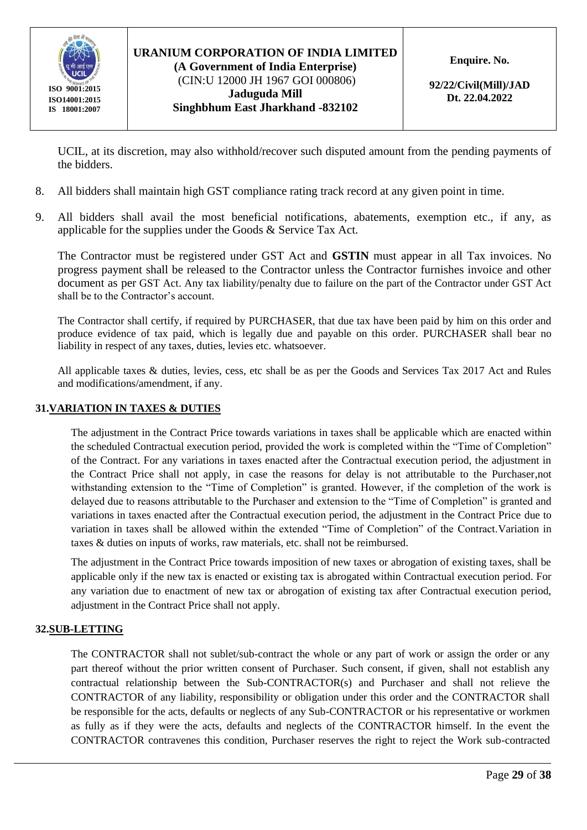

#### **URANIUM CORPORATION OF INDIA LIMITED (A Government of India Enterprise)** (CIN:U 12000 JH 1967 GOI 000806) **Jaduguda Mill**

**Singhbhum East Jharkhand -832102**

**Enquire. No.** 

**92/22/Civil(Mill)/JAD Dt. 22.04.2022**

UCIL, at its discretion, may also withhold/recover such disputed amount from the pending payments of the bidders.

- 8. All bidders shall maintain high GST compliance rating track record at any given point in time.
- 9. All bidders shall avail the most beneficial notifications, abatements, exemption etc., if any, as applicable for the supplies under the Goods & Service Tax Act.

The Contractor must be registered under GST Act and **GSTIN** must appear in all Tax invoices. No progress payment shall be released to the Contractor unless the Contractor furnishes invoice and other document as per GST Act. Any tax liability/penalty due to failure on the part of the Contractor under GST Act shall be to the Contractor's account.

The Contractor shall certify, if required by PURCHASER, that due tax have been paid by him on this order and produce evidence of tax paid, which is legally due and payable on this order. PURCHASER shall bear no liability in respect of any taxes, duties, levies etc. whatsoever.

All applicable taxes & duties, levies, cess, etc shall be as per the Goods and Services Tax 2017 Act and Rules and modifications/amendment, if any.

#### **31.VARIATION IN TAXES & DUTIES**

The adjustment in the Contract Price towards variations in taxes shall be applicable which are enacted within the scheduled Contractual execution period, provided the work is completed within the "Time of Completion" of the Contract. For any variations in taxes enacted after the Contractual execution period, the adjustment in the Contract Price shall not apply, in case the reasons for delay is not attributable to the Purchaser,not withstanding extension to the "Time of Completion" is granted. However, if the completion of the work is delayed due to reasons attributable to the Purchaser and extension to the "Time of Completion" is granted and variations in taxes enacted after the Contractual execution period, the adjustment in the Contract Price due to variation in taxes shall be allowed within the extended "Time of Completion" of the Contract.Variation in taxes & duties on inputs of works, raw materials, etc. shall not be reimbursed.

The adjustment in the Contract Price towards imposition of new taxes or abrogation of existing taxes, shall be applicable only if the new tax is enacted or existing tax is abrogated within Contractual execution period. For any variation due to enactment of new tax or abrogation of existing tax after Contractual execution period, adjustment in the Contract Price shall not apply.

#### **32.SUB-LETTING**

The CONTRACTOR shall not sublet/sub-contract the whole or any part of work or assign the order or any part thereof without the prior written consent of Purchaser. Such consent, if given, shall not establish any contractual relationship between the Sub-CONTRACTOR(s) and Purchaser and shall not relieve the CONTRACTOR of any liability, responsibility or obligation under this order and the CONTRACTOR shall be responsible for the acts, defaults or neglects of any Sub-CONTRACTOR or his representative or workmen as fully as if they were the acts, defaults and neglects of the CONTRACTOR himself. In the event the CONTRACTOR contravenes this condition, Purchaser reserves the right to reject the Work sub-contracted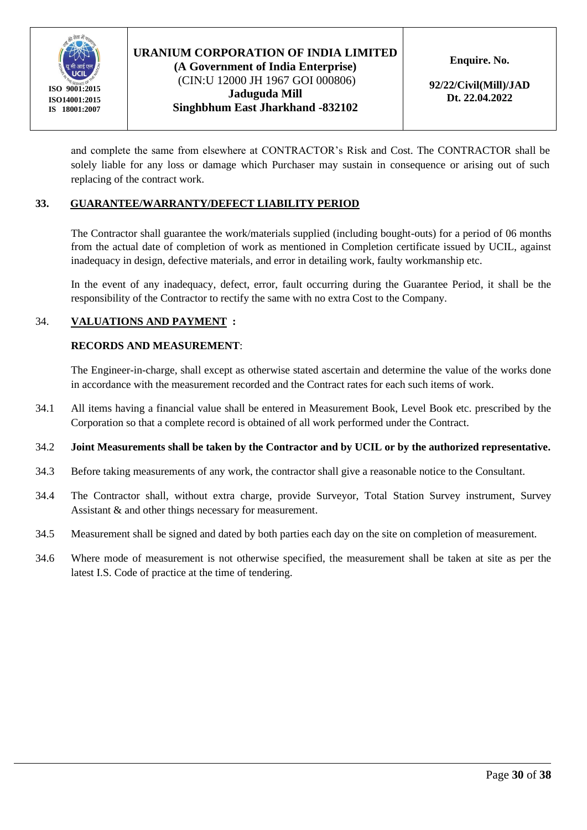

(CIN:U 12000 JH 1967 GOI 000806) **Jaduguda Mill Singhbhum East Jharkhand -832102** **Enquire. No.** 

**92/22/Civil(Mill)/JAD Dt. 22.04.2022**

and complete the same from elsewhere at CONTRACTOR's Risk and Cost. The CONTRACTOR shall be solely liable for any loss or damage which Purchaser may sustain in consequence or arising out of such replacing of the contract work.

#### **33. GUARANTEE/WARRANTY/DEFECT LIABILITY PERIOD**

The Contractor shall guarantee the work/materials supplied (including bought-outs) for a period of 06 months from the actual date of completion of work as mentioned in Completion certificate issued by UCIL, against inadequacy in design, defective materials, and error in detailing work, faulty workmanship etc.

In the event of any inadequacy, defect, error, fault occurring during the Guarantee Period, it shall be the responsibility of the Contractor to rectify the same with no extra Cost to the Company.

#### 34. **VALUATIONS AND PAYMENT :**

#### **RECORDS AND MEASUREMENT**:

The Engineer-in-charge, shall except as otherwise stated ascertain and determine the value of the works done in accordance with the measurement recorded and the Contract rates for each such items of work.

34.1 All items having a financial value shall be entered in Measurement Book, Level Book etc. prescribed by the Corporation so that a complete record is obtained of all work performed under the Contract.

#### 34.2 **Joint Measurements shall be taken by the Contractor and by UCIL or by the authorized representative.**

- 34.3 Before taking measurements of any work, the contractor shall give a reasonable notice to the Consultant.
- 34.4 The Contractor shall, without extra charge, provide Surveyor, Total Station Survey instrument, Survey Assistant & and other things necessary for measurement.
- 34.5 Measurement shall be signed and dated by both parties each day on the site on completion of measurement.
- 34.6 Where mode of measurement is not otherwise specified, the measurement shall be taken at site as per the latest I.S. Code of practice at the time of tendering.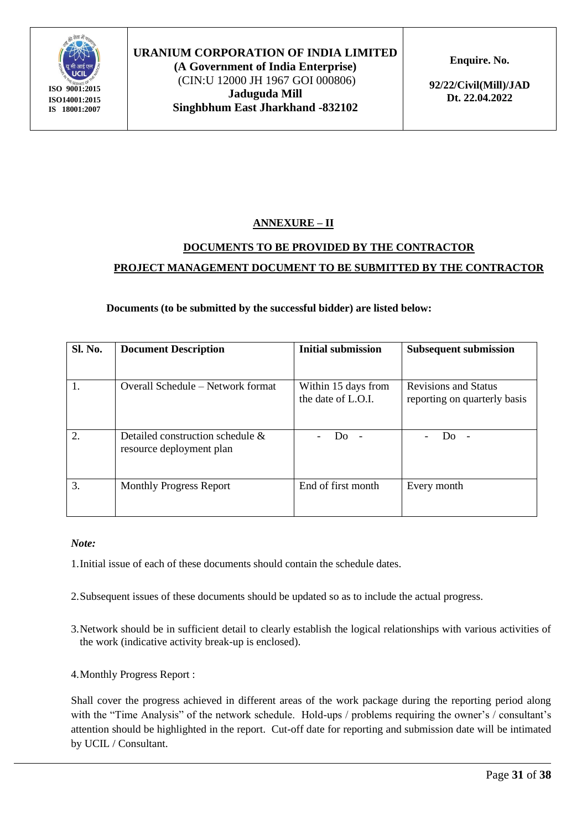

**(A Government of India Enterprise)** (CIN:U 12000 JH 1967 GOI 000806) **Jaduguda Mill Singhbhum East Jharkhand -832102** **Enquire. No.** 

**92/22/Civil(Mill)/JAD Dt. 22.04.2022**

## **ANNEXURE – II**

## **DOCUMENTS TO BE PROVIDED BY THE CONTRACTOR PROJECT MANAGEMENT DOCUMENT TO BE SUBMITTED BY THE CONTRACTOR**

#### **Documents (to be submitted by the successful bidder) are listed below:**

| <b>Sl. No.</b> | <b>Document Description</b>                                     | <b>Initial submission</b>                 | <b>Subsequent submission</b>                                |  |  |
|----------------|-----------------------------------------------------------------|-------------------------------------------|-------------------------------------------------------------|--|--|
|                |                                                                 |                                           |                                                             |  |  |
| 1.             | Overall Schedule – Network format                               | Within 15 days from<br>the date of L.O.I. | <b>Revisions and Status</b><br>reporting on quarterly basis |  |  |
| $\overline{2}$ | Detailed construction schedule $\&$<br>resource deployment plan | חנו                                       | חנו                                                         |  |  |
| 3.             | <b>Monthly Progress Report</b>                                  | End of first month                        | Every month                                                 |  |  |

#### *Note:*

1.Initial issue of each of these documents should contain the schedule dates.

- 2.Subsequent issues of these documents should be updated so as to include the actual progress.
- 3.Network should be in sufficient detail to clearly establish the logical relationships with various activities of the work (indicative activity break-up is enclosed).
- 4.Monthly Progress Report :

Shall cover the progress achieved in different areas of the work package during the reporting period along with the "Time Analysis" of the network schedule. Hold-ups / problems requiring the owner's / consultant's attention should be highlighted in the report. Cut-off date for reporting and submission date will be intimated by UCIL / Consultant.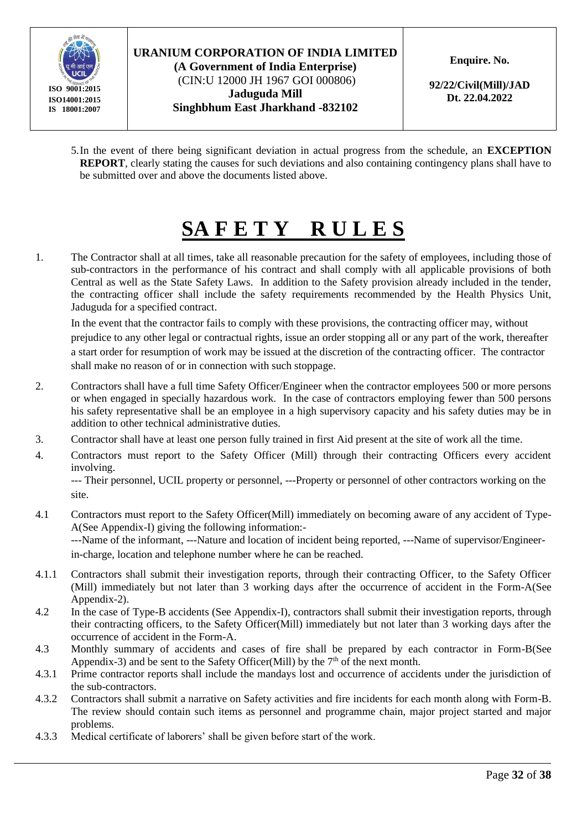

(CIN:U 12000 JH 1967 GOI 000806) **Jaduguda Mill Singhbhum East Jharkhand -832102** **Enquire. No.** 

**92/22/Civil(Mill)/JAD Dt. 22.04.2022**

5.In the event of there being significant deviation in actual progress from the schedule, an **EXCEPTION REPORT**, clearly stating the causes for such deviations and also containing contingency plans shall have to be submitted over and above the documents listed above.

# **SA F E T Y R U L E S**

1. The Contractor shall at all times, take all reasonable precaution for the safety of employees, including those of sub-contractors in the performance of his contract and shall comply with all applicable provisions of both Central as well as the State Safety Laws. In addition to the Safety provision already included in the tender, the contracting officer shall include the safety requirements recommended by the Health Physics Unit, Jaduguda for a specified contract.

In the event that the contractor fails to comply with these provisions, the contracting officer may, without prejudice to any other legal or contractual rights, issue an order stopping all or any part of the work, thereafter a start order for resumption of work may be issued at the discretion of the contracting officer. The contractor shall make no reason of or in connection with such stoppage.

- 2. Contractors shall have a full time Safety Officer/Engineer when the contractor employees 500 or more persons or when engaged in specially hazardous work. In the case of contractors employing fewer than 500 persons his safety representative shall be an employee in a high supervisory capacity and his safety duties may be in addition to other technical administrative duties.
- 3. Contractor shall have at least one person fully trained in first Aid present at the site of work all the time.
- 4. Contractors must report to the Safety Officer (Mill) through their contracting Officers every accident involving.

--- Their personnel, UCIL property or personnel, ---Property or personnel of other contractors working on the site.

- 4.1 Contractors must report to the Safety Officer(Mill) immediately on becoming aware of any accident of Type-A(See Appendix-I) giving the following information:- ---Name of the informant, ---Nature and location of incident being reported, ---Name of supervisor/Engineerin-charge, location and telephone number where he can be reached.
- 4.1.1 Contractors shall submit their investigation reports, through their contracting Officer, to the Safety Officer (Mill) immediately but not later than 3 working days after the occurrence of accident in the Form-A(See Appendix-2).
- 4.2 In the case of Type-B accidents (See Appendix-I), contractors shall submit their investigation reports, through their contracting officers, to the Safety Officer(Mill) immediately but not later than 3 working days after the occurrence of accident in the Form-A.
- 4.3 Monthly summary of accidents and cases of fire shall be prepared by each contractor in Form-B(See Appendix-3) and be sent to the Safety Officer(Mill) by the  $7<sup>th</sup>$  of the next month.
- 4.3.1 Prime contractor reports shall include the mandays lost and occurrence of accidents under the jurisdiction of the sub-contractors.
- 4.3.2 Contractors shall submit a narrative on Safety activities and fire incidents for each month along with Form-B. The review should contain such items as personnel and programme chain, major project started and major problems.
- 4.3.3 Medical certificate of laborers' shall be given before start of the work.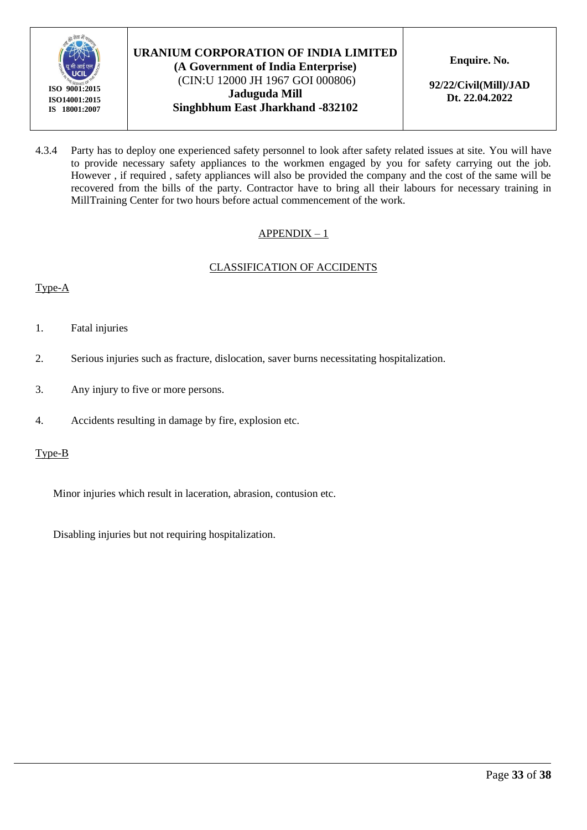

(CIN:U 12000 JH 1967 GOI 000806) **Jaduguda Mill Singhbhum East Jharkhand -832102** **Enquire. No.** 

**92/22/Civil(Mill)/JAD Dt. 22.04.2022**

4.3.4 Party has to deploy one experienced safety personnel to look after safety related issues at site. You will have to provide necessary safety appliances to the workmen engaged by you for safety carrying out the job. However , if required , safety appliances will also be provided the company and the cost of the same will be recovered from the bills of the party. Contractor have to bring all their labours for necessary training in MillTraining Center for two hours before actual commencement of the work.

#### APPENDIX – 1

#### CLASSIFICATION OF ACCIDENTS

#### Type-A

- 1. Fatal injuries
- 2. Serious injuries such as fracture, dislocation, saver burns necessitating hospitalization.
- 3. Any injury to five or more persons.
- 4. Accidents resulting in damage by fire, explosion etc.

#### Type-B

Minor injuries which result in laceration, abrasion, contusion etc.

Disabling injuries but not requiring hospitalization.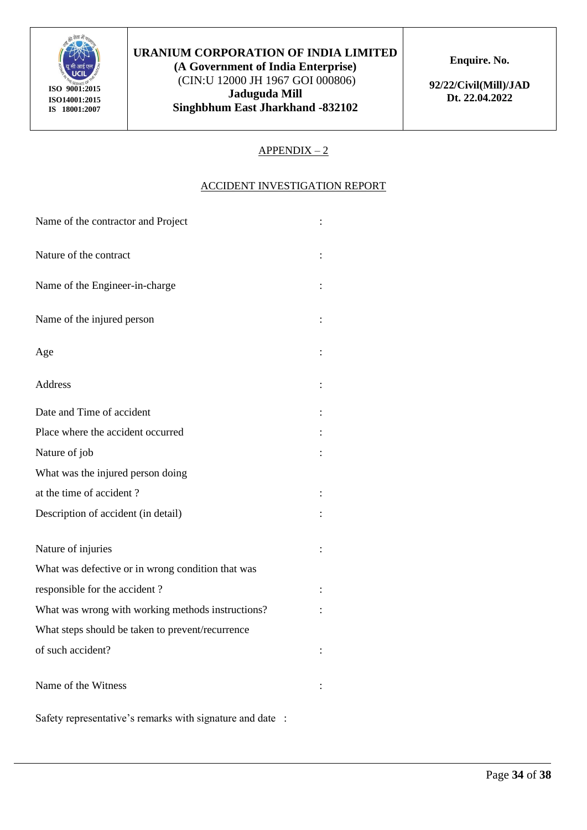

**(A Government of India Enterprise)** (CIN:U 12000 JH 1967 GOI 000806) **Jaduguda Mill Singhbhum East Jharkhand -832102** **Enquire. No.** 

**92/22/Civil(Mill)/JAD Dt. 22.04.2022**

#### $APPENDIX - 2$

#### ACCIDENT INVESTIGATION REPORT

| Name of the contractor and Project                |  |
|---------------------------------------------------|--|
| Nature of the contract                            |  |
| Name of the Engineer-in-charge                    |  |
| Name of the injured person                        |  |
| Age                                               |  |
| <b>Address</b>                                    |  |
| Date and Time of accident                         |  |
| Place where the accident occurred                 |  |
| Nature of job                                     |  |
| What was the injured person doing                 |  |
| at the time of accident?                          |  |
| Description of accident (in detail)               |  |
| Nature of injuries                                |  |
| What was defective or in wrong condition that was |  |
| responsible for the accident?                     |  |
| What was wrong with working methods instructions? |  |
| What steps should be taken to prevent/recurrence  |  |
| of such accident?                                 |  |
| Name of the Witness                               |  |

Safety representative's remarks with signature and date :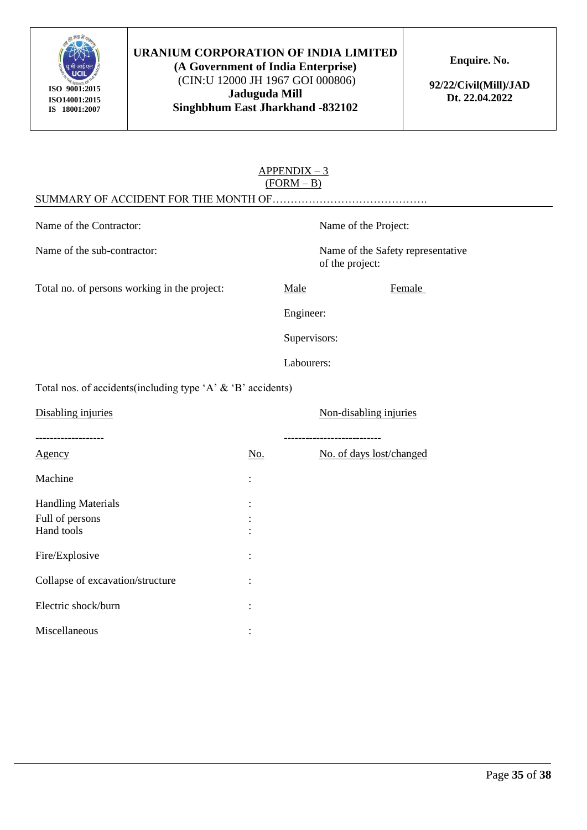

**(A Government of India Enterprise)** (CIN:U 12000 JH 1967 GOI 000806) **Jaduguda Mill Singhbhum East Jharkhand -832102** **Enquire. No.** 

**92/22/Civil(Mill)/JAD Dt. 22.04.2022**

|                                                                |            | $APPENDIX - 3$<br>$(FORM - B)$ |                                                         |
|----------------------------------------------------------------|------------|--------------------------------|---------------------------------------------------------|
|                                                                |            |                                |                                                         |
| Name of the Contractor:                                        |            |                                | Name of the Project:                                    |
| Name of the sub-contractor:                                    |            |                                | Name of the Safety representative<br>of the project:    |
| Total no. of persons working in the project:                   |            | Male                           | Female                                                  |
|                                                                |            | Engineer:                      |                                                         |
|                                                                |            | Supervisors:                   |                                                         |
|                                                                |            | Labourers:                     |                                                         |
| Total nos. of accidents(including type 'A' $\&$ 'B' accidents) |            |                                |                                                         |
| Disabling injuries                                             |            |                                | Non-disabling injuries                                  |
| Agency                                                         | <u>No.</u> |                                | ---------------------------<br>No. of days lost/changed |
| Machine                                                        |            |                                |                                                         |
| <b>Handling Materials</b>                                      |            |                                |                                                         |
| Full of persons                                                |            |                                |                                                         |
| Hand tools                                                     |            |                                |                                                         |
| Fire/Explosive                                                 |            |                                |                                                         |
| Collapse of excavation/structure                               |            |                                |                                                         |
| Electric shock/burn                                            |            |                                |                                                         |
|                                                                |            |                                |                                                         |

Miscellaneous : :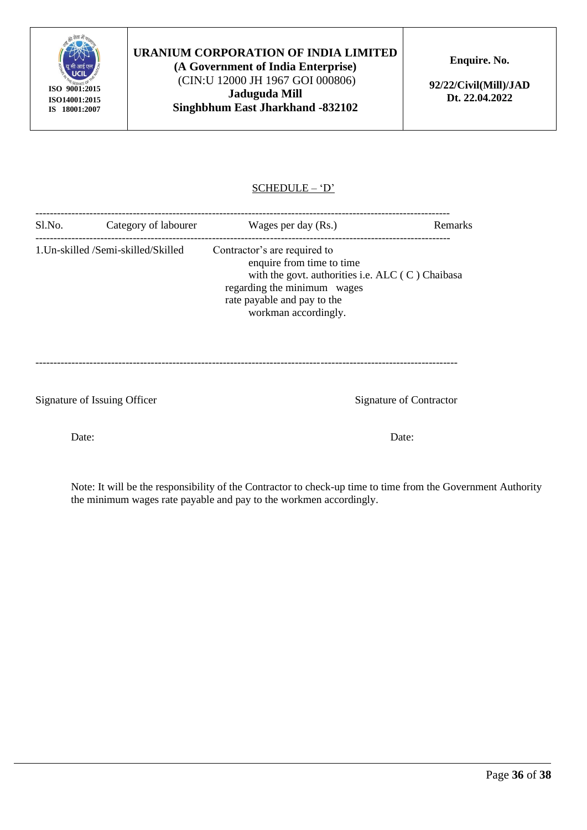

**(A Government of India Enterprise)** (CIN:U 12000 JH 1967 GOI 000806) **Jaduguda Mill Singhbhum East Jharkhand -832102** **Enquire. No.** 

**92/22/Civil(Mill)/JAD Dt. 22.04.2022**

## SCHEDULE – 'D'

| Sl.No.<br>Category of labourer |                                     | Wages per day (Rs.)                                                                                                                                                                                   |  |  |
|--------------------------------|-------------------------------------|-------------------------------------------------------------------------------------------------------------------------------------------------------------------------------------------------------|--|--|
|                                | 1. Un-skilled /Semi-skilled/Skilled | Contractor's are required to<br>enquire from time to time<br>with the govt. authorities i.e. ALC $(C)$ Chaibasa<br>regarding the minimum wages<br>rate payable and pay to the<br>workman accordingly. |  |  |

---------------------------------------------------------------------------------------------------------------------

Signature of Issuing Officer Signature of Contractor

Note: It will be the responsibility of the Contractor to check-up time to time from the Government Authority the minimum wages rate payable and pay to the workmen accordingly.

Date: Date: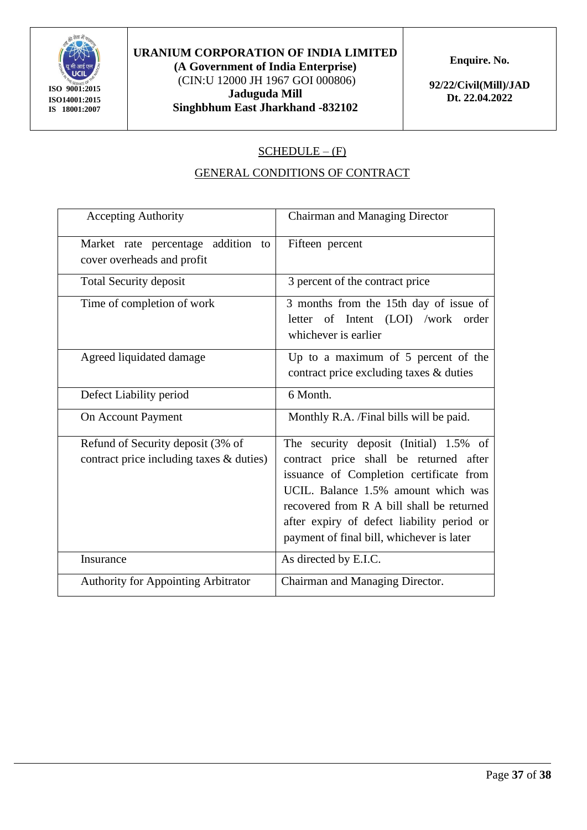

**(A Government of India Enterprise)** (CIN:U 12000 JH 1967 GOI 000806) **Jaduguda Mill Singhbhum East Jharkhand -832102** **Enquire. No.** 

**92/22/Civil(Mill)/JAD Dt. 22.04.2022**

## $SCHEDULE - (F)$

## GENERAL CONDITIONS OF CONTRACT

| <b>Accepting Authority</b>                                                    | <b>Chairman and Managing Director</b>                                                                                                                                                                                                                                                                      |
|-------------------------------------------------------------------------------|------------------------------------------------------------------------------------------------------------------------------------------------------------------------------------------------------------------------------------------------------------------------------------------------------------|
| Market rate percentage addition to<br>cover overheads and profit              | Fifteen percent                                                                                                                                                                                                                                                                                            |
| <b>Total Security deposit</b>                                                 | 3 percent of the contract price                                                                                                                                                                                                                                                                            |
| Time of completion of work                                                    | 3 months from the 15th day of issue of<br>letter of Intent (LOI) /work<br>order<br>whichever is earlier                                                                                                                                                                                                    |
| Agreed liquidated damage                                                      | Up to a maximum of 5 percent of the<br>contract price excluding taxes & duties                                                                                                                                                                                                                             |
| Defect Liability period                                                       | 6 Month.                                                                                                                                                                                                                                                                                                   |
| On Account Payment                                                            | Monthly R.A. /Final bills will be paid.                                                                                                                                                                                                                                                                    |
| Refund of Security deposit (3% of<br>contract price including taxes & duties) | The security deposit (Initial) 1.5% of<br>contract price shall be returned after<br>issuance of Completion certificate from<br>UCIL. Balance 1.5% amount which was<br>recovered from R A bill shall be returned<br>after expiry of defect liability period or<br>payment of final bill, whichever is later |
| Insurance                                                                     | As directed by E.I.C.                                                                                                                                                                                                                                                                                      |
| <b>Authority for Appointing Arbitrator</b>                                    | Chairman and Managing Director.                                                                                                                                                                                                                                                                            |